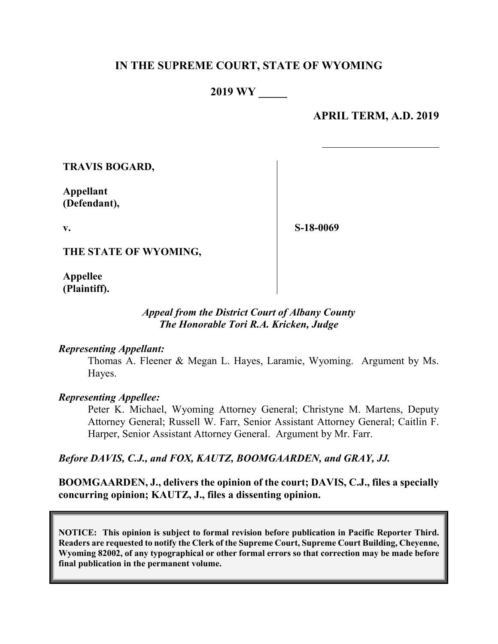### **IN THE SUPREME COURT, STATE OF WYOMING**

**2019 WY \_\_\_\_\_**

**APRIL TERM, A.D. 2019**

**TRAVIS BOGARD,**

**Appellant (Defendant),**

**v.**

**S-18-0069**

**THE STATE OF WYOMING,**

**Appellee (Plaintiff).**

#### *Appeal from the District Court of Albany County The Honorable Tori R.A. Kricken, Judge*

#### *Representing Appellant:*

Thomas A. Fleener & Megan L. Hayes, Laramie, Wyoming. Argument by Ms. Hayes.

#### *Representing Appellee:*

Peter K. Michael, Wyoming Attorney General; Christyne M. Martens, Deputy Attorney General; Russell W. Farr, Senior Assistant Attorney General; Caitlin F. Harper, Senior Assistant Attorney General. Argument by Mr. Farr.

#### *Before DAVIS, C.J., and FOX, KAUTZ, BOOMGAARDEN, and GRAY, JJ.*

**BOOMGAARDEN, J., delivers the opinion of the court; DAVIS, C.J., files a specially concurring opinion; KAUTZ, J., files a dissenting opinion.**

**NOTICE: This opinion is subject to formal revision before publication in Pacific Reporter Third. Readers are requested to notify the Clerk of the Supreme Court, Supreme Court Building, Cheyenne, Wyoming 82002, of any typographical or other formal errors so that correction may be made before final publication in the permanent volume.**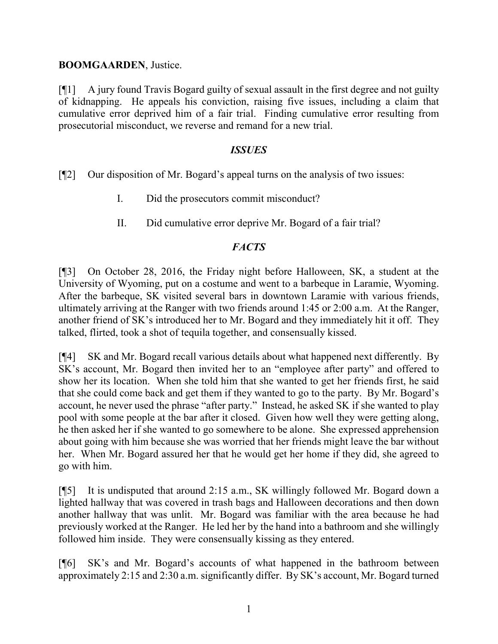#### **BOOMGAARDEN**, Justice.

[¶1] A jury found Travis Bogard guilty of sexual assault in the first degree and not guilty of kidnapping. He appeals his conviction, raising five issues, including a claim that cumulative error deprived him of a fair trial. Finding cumulative error resulting from prosecutorial misconduct, we reverse and remand for a new trial.

#### *ISSUES*

[¶2] Our disposition of Mr. Bogard's appeal turns on the analysis of two issues:

- I. Did the prosecutors commit misconduct?
- II. Did cumulative error deprive Mr. Bogard of a fair trial?

### *FACTS*

[¶3] On October 28, 2016, the Friday night before Halloween, SK, a student at the University of Wyoming, put on a costume and went to a barbeque in Laramie, Wyoming. After the barbeque, SK visited several bars in downtown Laramie with various friends, ultimately arriving at the Ranger with two friends around 1:45 or 2:00 a.m. At the Ranger, another friend of SK's introduced her to Mr. Bogard and they immediately hit it off. They talked, flirted, took a shot of tequila together, and consensually kissed.

[¶4] SK and Mr. Bogard recall various details about what happened next differently. By SK's account, Mr. Bogard then invited her to an "employee after party" and offered to show her its location. When she told him that she wanted to get her friends first, he said that she could come back and get them if they wanted to go to the party. By Mr. Bogard's account, he never used the phrase "after party." Instead, he asked SK if she wanted to play pool with some people at the bar after it closed. Given how well they were getting along, he then asked her if she wanted to go somewhere to be alone. She expressed apprehension about going with him because she was worried that her friends might leave the bar without her. When Mr. Bogard assured her that he would get her home if they did, she agreed to go with him.

[¶5] It is undisputed that around 2:15 a.m., SK willingly followed Mr. Bogard down a lighted hallway that was covered in trash bags and Halloween decorations and then down another hallway that was unlit. Mr. Bogard was familiar with the area because he had previously worked at the Ranger. He led her by the hand into a bathroom and she willingly followed him inside. They were consensually kissing as they entered.

[¶6] SK's and Mr. Bogard's accounts of what happened in the bathroom between approximately 2:15 and 2:30 a.m. significantly differ. By SK's account, Mr. Bogard turned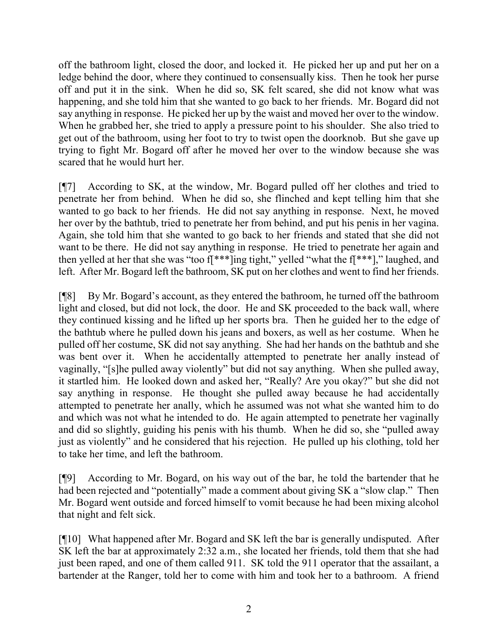off the bathroom light, closed the door, and locked it. He picked her up and put her on a ledge behind the door, where they continued to consensually kiss. Then he took her purse off and put it in the sink. When he did so, SK felt scared, she did not know what was happening, and she told him that she wanted to go back to her friends. Mr. Bogard did not say anything in response. He picked her up by the waist and moved her over to the window. When he grabbed her, she tried to apply a pressure point to his shoulder. She also tried to get out of the bathroom, using her foot to try to twist open the doorknob. But she gave up trying to fight Mr. Bogard off after he moved her over to the window because she was scared that he would hurt her.

[¶7] According to SK, at the window, Mr. Bogard pulled off her clothes and tried to penetrate her from behind. When he did so, she flinched and kept telling him that she wanted to go back to her friends. He did not say anything in response. Next, he moved her over by the bathtub, tried to penetrate her from behind, and put his penis in her vagina. Again, she told him that she wanted to go back to her friends and stated that she did not want to be there. He did not say anything in response. He tried to penetrate her again and then yelled at her that she was "too f[\*\*\*]ing tight," yelled "what the f[\*\*\*]," laughed, and left. After Mr. Bogard left the bathroom, SK put on her clothes and went to find her friends.

[¶8] By Mr. Bogard's account, as they entered the bathroom, he turned off the bathroom light and closed, but did not lock, the door. He and SK proceeded to the back wall, where they continued kissing and he lifted up her sports bra. Then he guided her to the edge of the bathtub where he pulled down his jeans and boxers, as well as her costume. When he pulled off her costume, SK did not say anything. She had her hands on the bathtub and she was bent over it. When he accidentally attempted to penetrate her anally instead of vaginally, "[s]he pulled away violently" but did not say anything. When she pulled away, it startled him. He looked down and asked her, "Really? Are you okay?" but she did not say anything in response. He thought she pulled away because he had accidentally attempted to penetrate her anally, which he assumed was not what she wanted him to do and which was not what he intended to do. He again attempted to penetrate her vaginally and did so slightly, guiding his penis with his thumb. When he did so, she "pulled away just as violently" and he considered that his rejection. He pulled up his clothing, told her to take her time, and left the bathroom.

[¶9] According to Mr. Bogard, on his way out of the bar, he told the bartender that he had been rejected and "potentially" made a comment about giving SK a "slow clap." Then Mr. Bogard went outside and forced himself to vomit because he had been mixing alcohol that night and felt sick.

[¶10] What happened after Mr. Bogard and SK left the bar is generally undisputed. After SK left the bar at approximately 2:32 a.m., she located her friends, told them that she had just been raped, and one of them called 911. SK told the 911 operator that the assailant, a bartender at the Ranger, told her to come with him and took her to a bathroom. A friend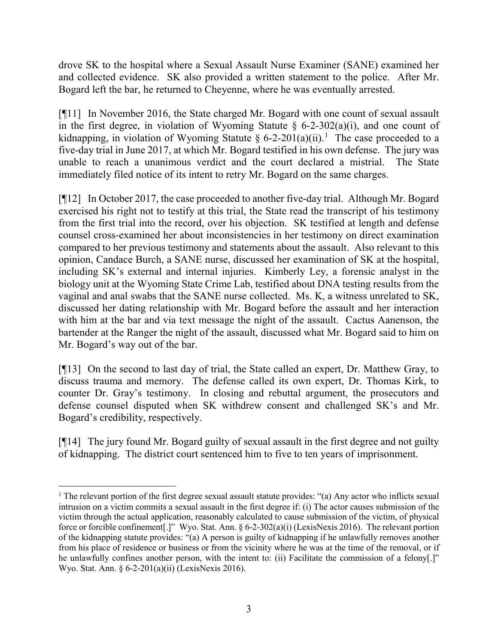drove SK to the hospital where a Sexual Assault Nurse Examiner (SANE) examined her and collected evidence. SK also provided a written statement to the police. After Mr. Bogard left the bar, he returned to Cheyenne, where he was eventually arrested.

[¶11] In November 2016, the State charged Mr. Bogard with one count of sexual assault in the first degree, in violation of Wyoming Statute  $\delta$  6-2-302(a)(i), and one count of kidnapping, in violation of Wyoming Statute § 6-2-20[1](#page-3-0)(a)(ii).<sup>1</sup> The case proceeded to a five-day trial in June 2017, at which Mr. Bogard testified in his own defense. The jury was unable to reach a unanimous verdict and the court declared a mistrial. The State immediately filed notice of its intent to retry Mr. Bogard on the same charges.

[¶12] In October 2017, the case proceeded to another five-day trial. Although Mr. Bogard exercised his right not to testify at this trial, the State read the transcript of his testimony from the first trial into the record, over his objection. SK testified at length and defense counsel cross-examined her about inconsistencies in her testimony on direct examination compared to her previous testimony and statements about the assault. Also relevant to this opinion, Candace Burch, a SANE nurse, discussed her examination of SK at the hospital, including SK's external and internal injuries. Kimberly Ley, a forensic analyst in the biology unit at the Wyoming State Crime Lab, testified about DNA testing results from the vaginal and anal swabs that the SANE nurse collected. Ms. K, a witness unrelated to SK, discussed her dating relationship with Mr. Bogard before the assault and her interaction with him at the bar and via text message the night of the assault. Cactus Aanenson, the bartender at the Ranger the night of the assault, discussed what Mr. Bogard said to him on Mr. Bogard's way out of the bar.

[¶13] On the second to last day of trial, the State called an expert, Dr. Matthew Gray, to discuss trauma and memory. The defense called its own expert, Dr. Thomas Kirk, to counter Dr. Gray's testimony. In closing and rebuttal argument, the prosecutors and defense counsel disputed when SK withdrew consent and challenged SK's and Mr. Bogard's credibility, respectively.

[¶14] The jury found Mr. Bogard guilty of sexual assault in the first degree and not guilty of kidnapping. The district court sentenced him to five to ten years of imprisonment.

<span id="page-3-0"></span><sup>&</sup>lt;sup>1</sup> The relevant portion of the first degree sexual assault statute provides: "(a) Any actor who inflicts sexual intrusion on a victim commits a sexual assault in the first degree if: (i) The actor causes submission of the victim through the actual application, reasonably calculated to cause submission of the victim, of physical force or forcible confinement[.]" Wyo. Stat. Ann. § 6-2-302(a)(i) (LexisNexis 2016). The relevant portion of the kidnapping statute provides: "(a) A person is guilty of kidnapping if he unlawfully removes another from his place of residence or business or from the vicinity where he was at the time of the removal, or if he unlawfully confines another person, with the intent to: (ii) Facilitate the commission of a felony[.]" Wyo. Stat. Ann. § 6-2-201(a)(ii) (LexisNexis 2016).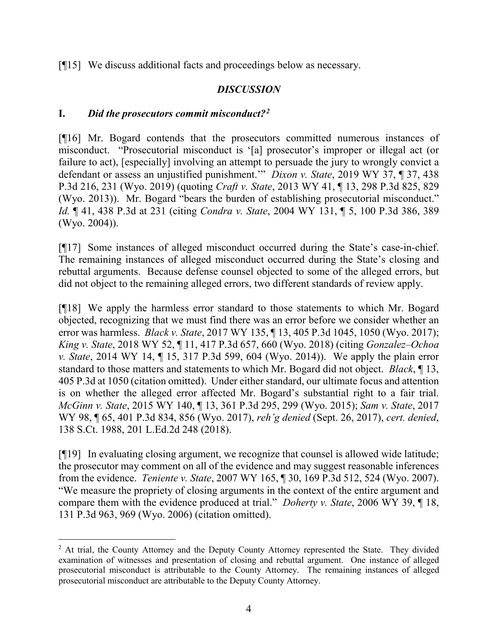[¶15] We discuss additional facts and proceedings below as necessary.

### *DISCUSSION*

### **I.** *Did the prosecutors commit misconduct?[2](#page-4-0)*

[¶16] Mr. Bogard contends that the prosecutors committed numerous instances of misconduct. "Prosecutorial misconduct is '[a] prosecutor's improper or illegal act (or failure to act), [especially] involving an attempt to persuade the jury to wrongly convict a defendant or assess an unjustified punishment.'" *Dixon v. State*, 2019 WY 37, ¶ 37, 438 P.3d 216, 231 (Wyo. 2019) (quoting *Craft v. State*, 2013 WY 41, ¶ 13, 298 P.3d 825, 829 (Wyo. 2013)). Mr. Bogard "bears the burden of establishing prosecutorial misconduct." *Id.* ¶ 41, 438 P.3d at 231 (citing *Condra v. State*, 2004 WY 131, ¶ 5, 100 P.3d 386, 389 (Wyo. 2004)).

[¶17] Some instances of alleged misconduct occurred during the State's case-in-chief. The remaining instances of alleged misconduct occurred during the State's closing and rebuttal arguments. Because defense counsel objected to some of the alleged errors, but did not object to the remaining alleged errors, two different standards of review apply.

[¶18] We apply the harmless error standard to those statements to which Mr. Bogard objected, recognizing that we must find there was an error before we consider whether an error was harmless. *Black v. State*, 2017 WY 135, ¶ 13, 405 P.3d 1045, 1050 (Wyo. 2017); *King v. State*, 2018 WY 52, ¶ 11, 417 P.3d 657, 660 (Wyo. 2018) (citing *Gonzalez–Ochoa v. State*, 2014 WY 14, ¶ 15, 317 P.3d 599, 604 (Wyo. 2014)). We apply the plain error standard to those matters and statements to which Mr. Bogard did not object. *Black*, ¶ 13, 405 P.3d at 1050 (citation omitted). Under either standard, our ultimate focus and attention is on whether the alleged error affected Mr. Bogard's substantial right to a fair trial. *McGinn v. State*, 2015 WY 140, ¶ 13, 361 P.3d 295, 299 (Wyo. 2015); *Sam v. State*, 2017 WY 98, ¶ 65, 401 P.3d 834, 856 (Wyo. 2017), *reh'g denied* (Sept. 26, 2017), *cert. denied*, 138 S.Ct. 1988, 201 L.Ed.2d 248 (2018).

[¶19] In evaluating closing argument, we recognize that counsel is allowed wide latitude; the prosecutor may comment on all of the evidence and may suggest reasonable inferences from the evidence. *Teniente v. State*, 2007 WY 165, ¶ 30, 169 P.3d 512, 524 (Wyo. 2007). "We measure the propriety of closing arguments in the context of the entire argument and compare them with the evidence produced at trial." *Doherty v. State*, 2006 WY 39, ¶ 18, 131 P.3d 963, 969 (Wyo. 2006) (citation omitted).

<span id="page-4-0"></span><sup>&</sup>lt;sup>2</sup> At trial, the County Attorney and the Deputy County Attorney represented the State. They divided examination of witnesses and presentation of closing and rebuttal argument. One instance of alleged prosecutorial misconduct is attributable to the County Attorney. The remaining instances of alleged prosecutorial misconduct are attributable to the Deputy County Attorney.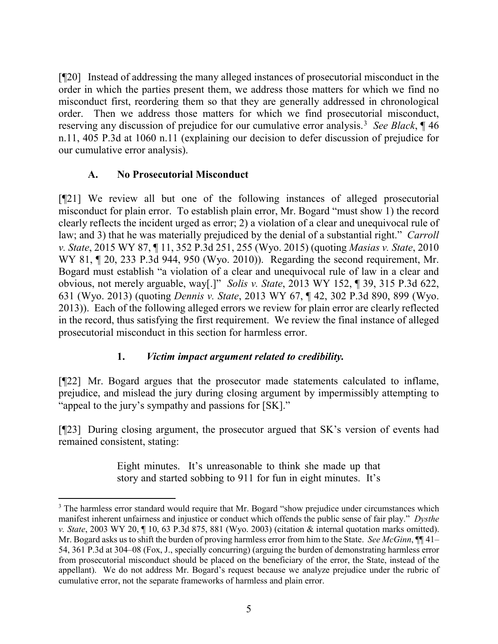[¶20] Instead of addressing the many alleged instances of prosecutorial misconduct in the order in which the parties present them, we address those matters for which we find no misconduct first, reordering them so that they are generally addressed in chronological order. Then we address those matters for which we find prosecutorial misconduct, reserving any discussion of prejudice for our cumulative error analysis.[3](#page-5-0) *See Black*, ¶ 46 n.11, 405 P.3d at 1060 n.11 (explaining our decision to defer discussion of prejudice for our cumulative error analysis).

### **A. No Prosecutorial Misconduct**

[¶21] We review all but one of the following instances of alleged prosecutorial misconduct for plain error. To establish plain error, Mr. Bogard "must show 1) the record clearly reflects the incident urged as error; 2) a violation of a clear and unequivocal rule of law; and 3) that he was materially prejudiced by the denial of a substantial right." *Carroll v. State*, 2015 WY 87, ¶ 11, 352 P.3d 251, 255 (Wyo. 2015) (quoting *Masias v. State*, 2010 WY 81, ¶ 20, 233 P.3d 944, 950 (Wyo. 2010)). Regarding the second requirement, Mr. Bogard must establish "a violation of a clear and unequivocal rule of law in a clear and obvious, not merely arguable, way[.]" *Solis v. State*, 2013 WY 152, ¶ 39, 315 P.3d 622, 631 (Wyo. 2013) (quoting *Dennis v. State*, 2013 WY 67, ¶ 42, 302 P.3d 890, 899 (Wyo. 2013)). Each of the following alleged errors we review for plain error are clearly reflected in the record, thus satisfying the first requirement. We review the final instance of alleged prosecutorial misconduct in this section for harmless error.

### **1.** *Victim impact argument related to credibility.*

[¶22] Mr. Bogard argues that the prosecutor made statements calculated to inflame, prejudice, and mislead the jury during closing argument by impermissibly attempting to "appeal to the jury's sympathy and passions for [SK]."

[¶23] During closing argument, the prosecutor argued that SK's version of events had remained consistent, stating:

> Eight minutes. It's unreasonable to think she made up that story and started sobbing to 911 for fun in eight minutes. It's

<span id="page-5-0"></span><sup>&</sup>lt;sup>3</sup> The harmless error standard would require that Mr. Bogard "show prejudice under circumstances which manifest inherent unfairness and injustice or conduct which offends the public sense of fair play." *Dysthe v. State*, 2003 WY 20, ¶ 10, 63 P.3d 875, 881 (Wyo. 2003) (citation & internal quotation marks omitted). Mr. Bogard asks us to shift the burden of proving harmless error from him to the State. *See McGinn*, ¶¶ 41– 54, 361 P.3d at 304–08 (Fox, J., specially concurring) (arguing the burden of demonstrating harmless error from prosecutorial misconduct should be placed on the beneficiary of the error, the State, instead of the appellant). We do not address Mr. Bogard's request because we analyze prejudice under the rubric of cumulative error, not the separate frameworks of harmless and plain error.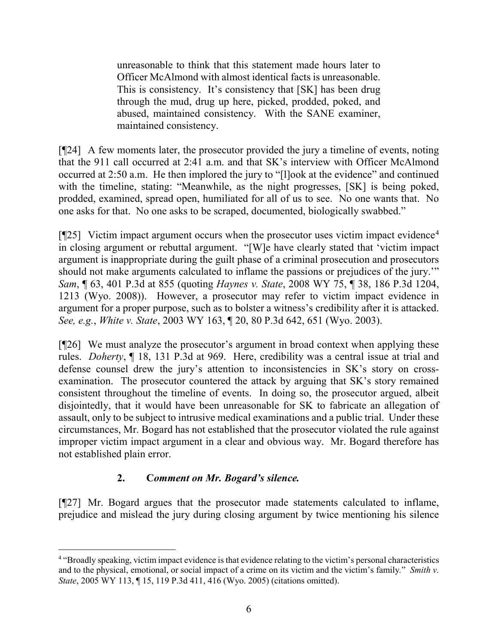unreasonable to think that this statement made hours later to Officer McAlmond with almost identical facts is unreasonable. This is consistency. It's consistency that [SK] has been drug through the mud, drug up here, picked, prodded, poked, and abused, maintained consistency. With the SANE examiner, maintained consistency.

[¶24] A few moments later, the prosecutor provided the jury a timeline of events, noting that the 911 call occurred at 2:41 a.m. and that SK's interview with Officer McAlmond occurred at 2:50 a.m. He then implored the jury to "[l]ook at the evidence" and continued with the timeline, stating: "Meanwhile, as the night progresses, [SK] is being poked, prodded, examined, spread open, humiliated for all of us to see. No one wants that. No one asks for that. No one asks to be scraped, documented, biologically swabbed."

 $[$ [25] Victim impact argument occurs when the prosecutor uses victim impact evidence<sup>[4](#page-6-0)</sup> in closing argument or rebuttal argument. "[W]e have clearly stated that 'victim impact argument is inappropriate during the guilt phase of a criminal prosecution and prosecutors should not make arguments calculated to inflame the passions or prejudices of the jury.'" *Sam*, ¶ 63, 401 P.3d at 855 (quoting *Haynes v. State*, 2008 WY 75, ¶ 38, 186 P.3d 1204, 1213 (Wyo. 2008)). However, a prosecutor may refer to victim impact evidence in argument for a proper purpose, such as to bolster a witness's credibility after it is attacked. *See, e.g.*, *White v. State*, 2003 WY 163, ¶ 20, 80 P.3d 642, 651 (Wyo. 2003).

[¶26] We must analyze the prosecutor's argument in broad context when applying these rules. *Doherty*, ¶ 18, 131 P.3d at 969. Here, credibility was a central issue at trial and defense counsel drew the jury's attention to inconsistencies in SK's story on crossexamination. The prosecutor countered the attack by arguing that SK's story remained consistent throughout the timeline of events. In doing so, the prosecutor argued, albeit disjointedly, that it would have been unreasonable for SK to fabricate an allegation of assault, only to be subject to intrusive medical examinations and a public trial. Under these circumstances, Mr. Bogard has not established that the prosecutor violated the rule against improper victim impact argument in a clear and obvious way. Mr. Bogard therefore has not established plain error.

### **2. C***omment on Mr. Bogard's silence.*

[¶27] Mr. Bogard argues that the prosecutor made statements calculated to inflame, prejudice and mislead the jury during closing argument by twice mentioning his silence

<span id="page-6-0"></span> <sup>4</sup> "Broadly speaking, victim impact evidence is that evidence relating to the victim's personal characteristics and to the physical, emotional, or social impact of a crime on its victim and the victim's family*.*" *Smith v. State*, 2005 WY 113, ¶ 15, 119 P.3d 411, 416 (Wyo. 2005) (citations omitted).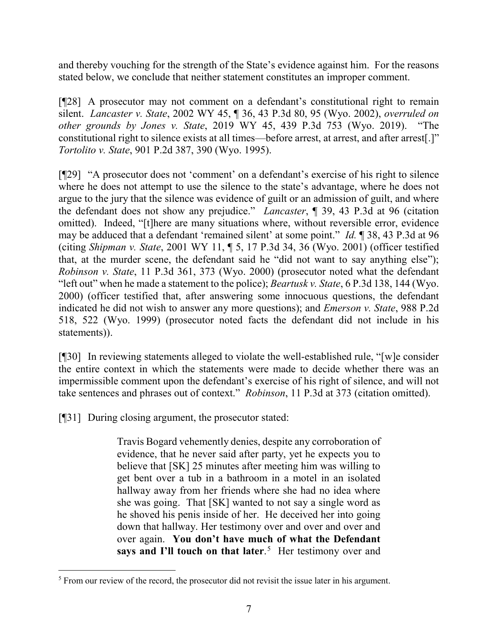and thereby vouching for the strength of the State's evidence against him. For the reasons stated below, we conclude that neither statement constitutes an improper comment.

[¶28] A prosecutor may not comment on a defendant's constitutional right to remain silent. *Lancaster v. State*, 2002 WY 45, ¶ 36, 43 P.3d 80, 95 (Wyo. 2002), *overruled on other grounds by Jones v. State*, 2019 WY 45, 439 P.3d 753 (Wyo. 2019). "The constitutional right to silence exists at all times—before arrest, at arrest, and after arrest[.]" *Tortolito v. State*, 901 P.2d 387, 390 (Wyo. 1995).

[¶29] "A prosecutor does not 'comment' on a defendant's exercise of his right to silence where he does not attempt to use the silence to the state's advantage, where he does not argue to the jury that the silence was evidence of guilt or an admission of guilt, and where the defendant does not show any prejudice." *Lancaster*, ¶ 39, 43 P.3d at 96 (citation omitted). Indeed, "[t]here are many situations where, without reversible error, evidence may be adduced that a defendant 'remained silent' at some point." *Id.* ¶ 38, 43 P.3d at 96 (citing *Shipman v. State*, 2001 WY 11, ¶ 5, 17 P.3d 34, 36 (Wyo. 2001) (officer testified that, at the murder scene, the defendant said he "did not want to say anything else"); *Robinson v. State*, 11 P.3d 361, 373 (Wyo. 2000) (prosecutor noted what the defendant "left out" when he made a statement to the police); *Beartusk v. State*, 6 P.3d 138, 144 (Wyo. 2000) (officer testified that, after answering some innocuous questions, the defendant indicated he did not wish to answer any more questions); and *Emerson v. State*, 988 P.2d 518, 522 (Wyo. 1999) (prosecutor noted facts the defendant did not include in his statements)).

[¶30] In reviewing statements alleged to violate the well-established rule, "[w]e consider the entire context in which the statements were made to decide whether there was an impermissible comment upon the defendant's exercise of his right of silence, and will not take sentences and phrases out of context." *Robinson*, 11 P.3d at 373 (citation omitted).

[¶31] During closing argument, the prosecutor stated:

Travis Bogard vehemently denies, despite any corroboration of evidence, that he never said after party, yet he expects you to believe that [SK] 25 minutes after meeting him was willing to get bent over a tub in a bathroom in a motel in an isolated hallway away from her friends where she had no idea where she was going. That [SK] wanted to not say a single word as he shoved his penis inside of her. He deceived her into going down that hallway. Her testimony over and over and over and over again. **You don't have much of what the Defendant**  says and I'll touch on that later.<sup>[5](#page-7-0)</sup> Her testimony over and

<span id="page-7-0"></span><sup>&</sup>lt;sup>5</sup> From our review of the record, the prosecutor did not revisit the issue later in his argument.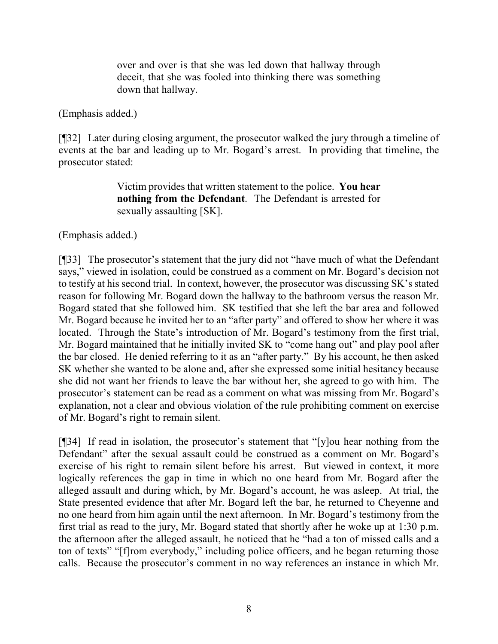over and over is that she was led down that hallway through deceit, that she was fooled into thinking there was something down that hallway.

(Emphasis added.)

[¶32] Later during closing argument, the prosecutor walked the jury through a timeline of events at the bar and leading up to Mr. Bogard's arrest. In providing that timeline, the prosecutor stated:

> Victim provides that written statement to the police. **You hear nothing from the Defendant**. The Defendant is arrested for sexually assaulting [SK].

(Emphasis added.)

[¶33] The prosecutor's statement that the jury did not "have much of what the Defendant says," viewed in isolation, could be construed as a comment on Mr. Bogard's decision not to testify at his second trial. In context, however, the prosecutor was discussing SK's stated reason for following Mr. Bogard down the hallway to the bathroom versus the reason Mr. Bogard stated that she followed him. SK testified that she left the bar area and followed Mr. Bogard because he invited her to an "after party" and offered to show her where it was located. Through the State's introduction of Mr. Bogard's testimony from the first trial, Mr. Bogard maintained that he initially invited SK to "come hang out" and play pool after the bar closed. He denied referring to it as an "after party." By his account, he then asked SK whether she wanted to be alone and, after she expressed some initial hesitancy because she did not want her friends to leave the bar without her, she agreed to go with him. The prosecutor's statement can be read as a comment on what was missing from Mr. Bogard's explanation, not a clear and obvious violation of the rule prohibiting comment on exercise of Mr. Bogard's right to remain silent.

[¶34] If read in isolation, the prosecutor's statement that "[y]ou hear nothing from the Defendant" after the sexual assault could be construed as a comment on Mr. Bogard's exercise of his right to remain silent before his arrest. But viewed in context, it more logically references the gap in time in which no one heard from Mr. Bogard after the alleged assault and during which, by Mr. Bogard's account, he was asleep. At trial, the State presented evidence that after Mr. Bogard left the bar, he returned to Cheyenne and no one heard from him again until the next afternoon. In Mr. Bogard's testimony from the first trial as read to the jury, Mr. Bogard stated that shortly after he woke up at 1:30 p.m. the afternoon after the alleged assault, he noticed that he "had a ton of missed calls and a ton of texts" "[f]rom everybody," including police officers, and he began returning those calls. Because the prosecutor's comment in no way references an instance in which Mr.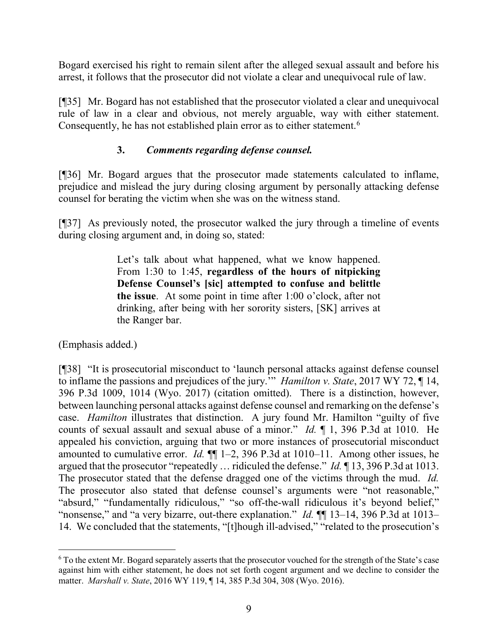Bogard exercised his right to remain silent after the alleged sexual assault and before his arrest, it follows that the prosecutor did not violate a clear and unequivocal rule of law.

[¶35] Mr. Bogard has not established that the prosecutor violated a clear and unequivocal rule of law in a clear and obvious, not merely arguable, way with either statement. Consequently, he has not established plain error as to either statement.<sup>[6](#page-9-0)</sup>

## **3.** *Comments regarding defense counsel.*

[¶36] Mr. Bogard argues that the prosecutor made statements calculated to inflame, prejudice and mislead the jury during closing argument by personally attacking defense counsel for berating the victim when she was on the witness stand.

[¶37] As previously noted, the prosecutor walked the jury through a timeline of events during closing argument and, in doing so, stated:

> Let's talk about what happened, what we know happened. From 1:30 to 1:45, **regardless of the hours of nitpicking Defense Counsel's [sic] attempted to confuse and belittle the issue**. At some point in time after 1:00 o'clock, after not drinking, after being with her sorority sisters, [SK] arrives at the Ranger bar.

(Emphasis added.)

[¶38] "It is prosecutorial misconduct to 'launch personal attacks against defense counsel to inflame the passions and prejudices of the jury.'" *Hamilton v. State*, 2017 WY 72, ¶ 14, 396 P.3d 1009, 1014 (Wyo. 2017) (citation omitted). There is a distinction, however, between launching personal attacks against defense counsel and remarking on the defense's case. *Hamilton* illustrates that distinction. A jury found Mr. Hamilton "guilty of five counts of sexual assault and sexual abuse of a minor." *Id.* ¶ 1, 396 P.3d at 1010. He appealed his conviction, arguing that two or more instances of prosecutorial misconduct amounted to cumulative error. *Id.* ¶¶ 1–2, 396 P.3d at 1010–11. Among other issues, he argued that the prosecutor "repeatedly … ridiculed the defense." *Id.* ¶ 13, 396 P.3d at 1013. The prosecutor stated that the defense dragged one of the victims through the mud. *Id.* The prosecutor also stated that defense counsel's arguments were "not reasonable," "absurd," "fundamentally ridiculous," "so off-the-wall ridiculous it's beyond belief," "nonsense," and "a very bizarre, out-there explanation." *Id.* ¶¶ 13–14, 396 P.3d at 1013– 14. We concluded that the statements, "[t]hough ill-advised," "related to the prosecution's

<span id="page-9-0"></span> <sup>6</sup> To the extent Mr. Bogard separately asserts that the prosecutor vouched for the strength of the State's case against him with either statement, he does not set forth cogent argument and we decline to consider the matter. *Marshall v. State*, 2016 WY 119, ¶ 14, 385 P.3d 304, 308 (Wyo. 2016).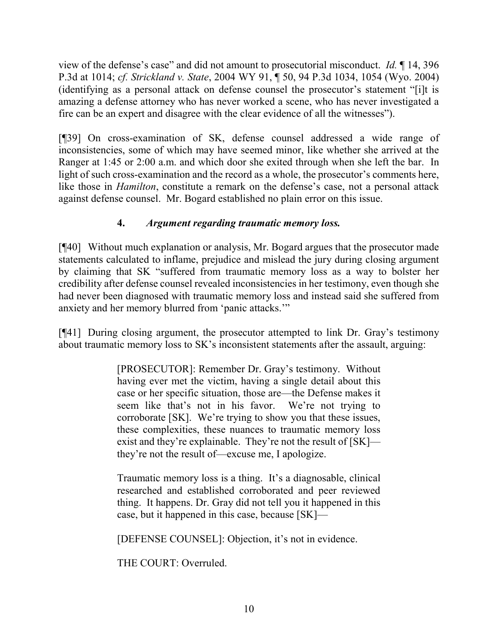view of the defense's case" and did not amount to prosecutorial misconduct. *Id.* ¶ 14, 396 P.3d at 1014; *cf. Strickland v. State*, 2004 WY 91, ¶ 50, 94 P.3d 1034, 1054 (Wyo. 2004) (identifying as a personal attack on defense counsel the prosecutor's statement "[i]t is amazing a defense attorney who has never worked a scene, who has never investigated a fire can be an expert and disagree with the clear evidence of all the witnesses").

[¶39] On cross-examination of SK, defense counsel addressed a wide range of inconsistencies, some of which may have seemed minor, like whether she arrived at the Ranger at 1:45 or 2:00 a.m. and which door she exited through when she left the bar. In light of such cross-examination and the record as a whole, the prosecutor's comments here, like those in *Hamilton*, constitute a remark on the defense's case, not a personal attack against defense counsel. Mr. Bogard established no plain error on this issue.

# **4.** *Argument regarding traumatic memory loss.*

[¶40] Without much explanation or analysis, Mr. Bogard argues that the prosecutor made statements calculated to inflame, prejudice and mislead the jury during closing argument by claiming that SK "suffered from traumatic memory loss as a way to bolster her credibility after defense counsel revealed inconsistencies in her testimony, even though she had never been diagnosed with traumatic memory loss and instead said she suffered from anxiety and her memory blurred from 'panic attacks.'"

[¶41] During closing argument, the prosecutor attempted to link Dr. Gray's testimony about traumatic memory loss to SK's inconsistent statements after the assault, arguing:

> [PROSECUTOR]: Remember Dr. Gray's testimony. Without having ever met the victim, having a single detail about this case or her specific situation, those are—the Defense makes it seem like that's not in his favor. We're not trying to corroborate [SK]. We're trying to show you that these issues, these complexities, these nuances to traumatic memory loss exist and they're explainable. They're not the result of [SK] they're not the result of—excuse me, I apologize.

> Traumatic memory loss is a thing. It's a diagnosable, clinical researched and established corroborated and peer reviewed thing. It happens. Dr. Gray did not tell you it happened in this case, but it happened in this case, because [SK]—

[DEFENSE COUNSEL]: Objection, it's not in evidence.

THE COURT: Overruled.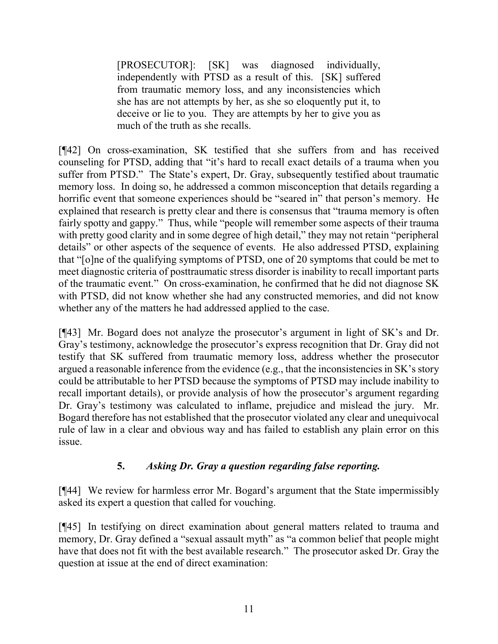[PROSECUTOR]: [SK] was diagnosed individually, independently with PTSD as a result of this. [SK] suffered from traumatic memory loss, and any inconsistencies which she has are not attempts by her, as she so eloquently put it, to deceive or lie to you. They are attempts by her to give you as much of the truth as she recalls.

[¶42] On cross-examination, SK testified that she suffers from and has received counseling for PTSD, adding that "it's hard to recall exact details of a trauma when you suffer from PTSD." The State's expert, Dr. Gray, subsequently testified about traumatic memory loss. In doing so, he addressed a common misconception that details regarding a horrific event that someone experiences should be "seared in" that person's memory. He explained that research is pretty clear and there is consensus that "trauma memory is often fairly spotty and gappy." Thus, while "people will remember some aspects of their trauma with pretty good clarity and in some degree of high detail," they may not retain "peripheral" details" or other aspects of the sequence of events. He also addressed PTSD, explaining that "[o]ne of the qualifying symptoms of PTSD, one of 20 symptoms that could be met to meet diagnostic criteria of posttraumatic stress disorder is inability to recall important parts of the traumatic event." On cross-examination, he confirmed that he did not diagnose SK with PTSD, did not know whether she had any constructed memories, and did not know whether any of the matters he had addressed applied to the case.

[¶43] Mr. Bogard does not analyze the prosecutor's argument in light of SK's and Dr. Gray's testimony, acknowledge the prosecutor's express recognition that Dr. Gray did not testify that SK suffered from traumatic memory loss, address whether the prosecutor argued a reasonable inference from the evidence (e.g., that the inconsistencies in SK's story could be attributable to her PTSD because the symptoms of PTSD may include inability to recall important details), or provide analysis of how the prosecutor's argument regarding Dr. Gray's testimony was calculated to inflame, prejudice and mislead the jury. Mr. Bogard therefore has not established that the prosecutor violated any clear and unequivocal rule of law in a clear and obvious way and has failed to establish any plain error on this issue.

## **5.** *Asking Dr. Gray a question regarding false reporting.*

[¶44] We review for harmless error Mr. Bogard's argument that the State impermissibly asked its expert a question that called for vouching.

[¶45] In testifying on direct examination about general matters related to trauma and memory, Dr. Gray defined a "sexual assault myth" as "a common belief that people might have that does not fit with the best available research." The prosecutor asked Dr. Gray the question at issue at the end of direct examination: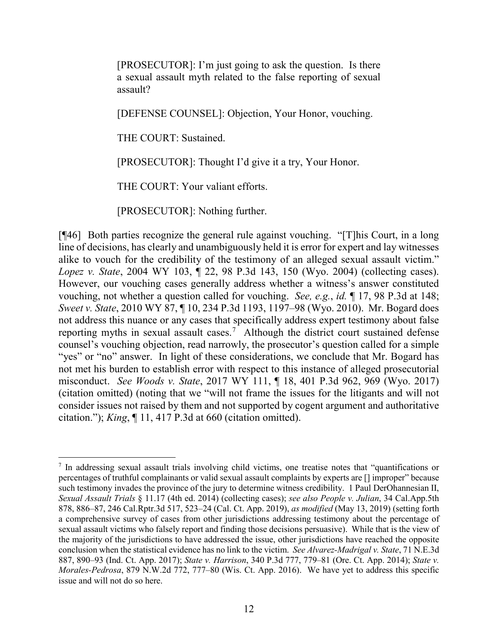[PROSECUTOR]: I'm just going to ask the question. Is there a sexual assault myth related to the false reporting of sexual assault?

[DEFENSE COUNSEL]: Objection, Your Honor, vouching.

THE COURT: Sustained.

[PROSECUTOR]: Thought I'd give it a try, Your Honor.

THE COURT: Your valiant efforts.

[PROSECUTOR]: Nothing further.

[¶46] Both parties recognize the general rule against vouching. "[T]his Court, in a long line of decisions, has clearly and unambiguously held it is error for expert and lay witnesses alike to vouch for the credibility of the testimony of an alleged sexual assault victim." *Lopez v. State*, 2004 WY 103, ¶ 22, 98 P.3d 143, 150 (Wyo. 2004) (collecting cases). However, our vouching cases generally address whether a witness's answer constituted vouching, not whether a question called for vouching. *See, e.g.*, *id.* ¶ 17, 98 P.3d at 148; *Sweet v. State*, 2010 WY 87, ¶ 10, 234 P.3d 1193, 1197–98 (Wyo. 2010). Mr. Bogard does not address this nuance or any cases that specifically address expert testimony about false reporting myths in sexual assault cases. [7](#page-12-0) Although the district court sustained defense counsel's vouching objection, read narrowly, the prosecutor's question called for a simple "yes" or "no" answer. In light of these considerations, we conclude that Mr. Bogard has not met his burden to establish error with respect to this instance of alleged prosecutorial misconduct. *See Woods v. State*, 2017 WY 111, ¶ 18, 401 P.3d 962, 969 (Wyo. 2017) (citation omitted) (noting that we "will not frame the issues for the litigants and will not consider issues not raised by them and not supported by cogent argument and authoritative citation."); *King*, ¶ 11, 417 P.3d at 660 (citation omitted).

<span id="page-12-0"></span> <sup>7</sup> In addressing sexual assault trials involving child victims, one treatise notes that "quantifications or percentages of truthful complainants or valid sexual assault complaints by experts are [] improper" because such testimony invades the province of the jury to determine witness credibility. 1 Paul DerOhannesian II, *Sexual Assault Trials* § 11.17 (4th ed. 2014) (collecting cases); *see also People v. Julian*, 34 Cal.App.5th 878, 886–87, 246 Cal.Rptr.3d 517, 523–24 (Cal. Ct. App. 2019), *as modified* (May 13, 2019) (setting forth a comprehensive survey of cases from other jurisdictions addressing testimony about the percentage of sexual assault victims who falsely report and finding those decisions persuasive). While that is the view of the majority of the jurisdictions to have addressed the issue, other jurisdictions have reached the opposite conclusion when the statistical evidence has no link to the victim. *See Alvarez-Madrigal v. State*, 71 N.E.3d 887, 890–93 (Ind. Ct. App. 2017); *State v. Harrison*, 340 P.3d 777, 779–81 (Ore. Ct. App. 2014); *State v. Morales-Pedrosa*, 879 N.W.2d 772, 777–80 (Wis. Ct. App. 2016). We have yet to address this specific issue and will not do so here.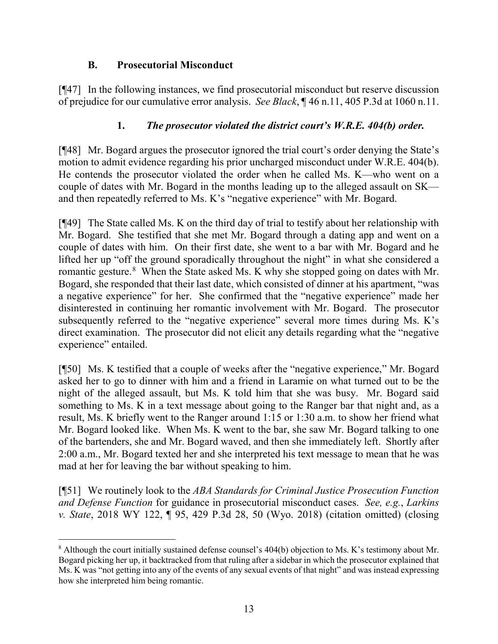## **B. Prosecutorial Misconduct**

[¶47] In the following instances, we find prosecutorial misconduct but reserve discussion of prejudice for our cumulative error analysis. *See Black*, ¶ 46 n.11, 405 P.3d at 1060 n.11.

### **1.** *The prosecutor violated the district court's W.R.E. 404(b) order.*

[¶48] Mr. Bogard argues the prosecutor ignored the trial court's order denying the State's motion to admit evidence regarding his prior uncharged misconduct under W.R.E. 404(b). He contends the prosecutor violated the order when he called Ms. K—who went on a couple of dates with Mr. Bogard in the months leading up to the alleged assault on SK and then repeatedly referred to Ms. K's "negative experience" with Mr. Bogard.

[¶49] The State called Ms. K on the third day of trial to testify about her relationship with Mr. Bogard. She testified that she met Mr. Bogard through a dating app and went on a couple of dates with him. On their first date, she went to a bar with Mr. Bogard and he lifted her up "off the ground sporadically throughout the night" in what she considered a romantic gesture.<sup>[8](#page-13-0)</sup> When the State asked Ms. K why she stopped going on dates with Mr. Bogard, she responded that their last date, which consisted of dinner at his apartment, "was a negative experience" for her. She confirmed that the "negative experience" made her disinterested in continuing her romantic involvement with Mr. Bogard. The prosecutor subsequently referred to the "negative experience" several more times during Ms. K's direct examination. The prosecutor did not elicit any details regarding what the "negative experience" entailed.

[¶50] Ms. K testified that a couple of weeks after the "negative experience," Mr. Bogard asked her to go to dinner with him and a friend in Laramie on what turned out to be the night of the alleged assault, but Ms. K told him that she was busy. Mr. Bogard said something to Ms. K in a text message about going to the Ranger bar that night and, as a result, Ms. K briefly went to the Ranger around 1:15 or 1:30 a.m. to show her friend what Mr. Bogard looked like. When Ms. K went to the bar, she saw Mr. Bogard talking to one of the bartenders, she and Mr. Bogard waved, and then she immediately left. Shortly after 2:00 a.m., Mr. Bogard texted her and she interpreted his text message to mean that he was mad at her for leaving the bar without speaking to him.

[¶51] We routinely look to the *ABA Standards for Criminal Justice Prosecution Function and Defense Function* for guidance in prosecutorial misconduct cases. *See, e.g.*, *Larkins v. State*, 2018 WY 122, ¶ 95, 429 P.3d 28, 50 (Wyo. 2018) (citation omitted) (closing

<span id="page-13-0"></span><sup>&</sup>lt;sup>8</sup> Although the court initially sustained defense counsel's 404(b) objection to Ms. K's testimony about Mr. Bogard picking her up, it backtracked from that ruling after a sidebar in which the prosecutor explained that Ms. K was "not getting into any of the events of any sexual events of that night" and was instead expressing how she interpreted him being romantic.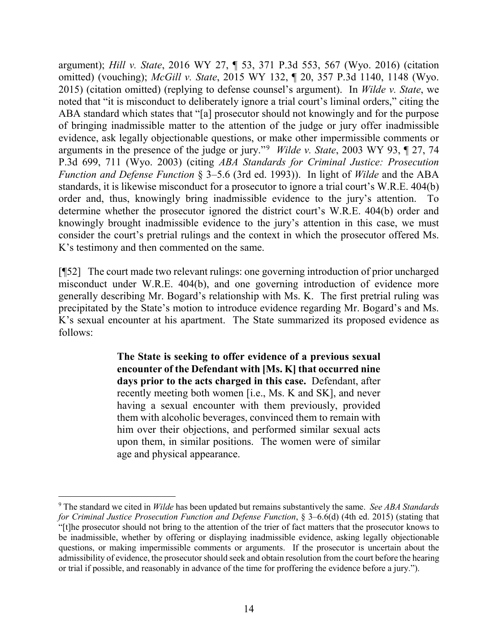argument); *Hill v. State*, 2016 WY 27, ¶ 53, 371 P.3d 553, 567 (Wyo. 2016) (citation omitted) (vouching); *McGill v. State*, 2015 WY 132, ¶ 20, 357 P.3d 1140, 1148 (Wyo. 2015) (citation omitted) (replying to defense counsel's argument). In *Wilde v. State*, we noted that "it is misconduct to deliberately ignore a trial court's liminal orders," citing the ABA standard which states that "[a] prosecutor should not knowingly and for the purpose of bringing inadmissible matter to the attention of the judge or jury offer inadmissible evidence, ask legally objectionable questions, or make other impermissible comments or arguments in the presence of the judge or jury."[9](#page-14-0) *Wilde v. State*, 2003 WY 93, ¶ 27, 74 P.3d 699, 711 (Wyo. 2003) (citing *ABA Standards for Criminal Justice: Prosecution Function and Defense Function* § 3–5.6 (3rd ed. 1993)). In light of *Wilde* and the ABA standards, it is likewise misconduct for a prosecutor to ignore a trial court's W.R.E. 404(b) order and, thus, knowingly bring inadmissible evidence to the jury's attention. To determine whether the prosecutor ignored the district court's W.R.E. 404(b) order and knowingly brought inadmissible evidence to the jury's attention in this case, we must consider the court's pretrial rulings and the context in which the prosecutor offered Ms. K's testimony and then commented on the same.

[¶52] The court made two relevant rulings: one governing introduction of prior uncharged misconduct under W.R.E. 404(b), and one governing introduction of evidence more generally describing Mr. Bogard's relationship with Ms. K. The first pretrial ruling was precipitated by the State's motion to introduce evidence regarding Mr. Bogard's and Ms. K's sexual encounter at his apartment. The State summarized its proposed evidence as follows:

> **The State is seeking to offer evidence of a previous sexual encounter of the Defendant with [Ms. K] that occurred nine days prior to the acts charged in this case.** Defendant, after recently meeting both women [i.e., Ms. K and SK], and never having a sexual encounter with them previously, provided them with alcoholic beverages, convinced them to remain with him over their objections, and performed similar sexual acts upon them, in similar positions. The women were of similar age and physical appearance.

<span id="page-14-0"></span> <sup>9</sup> The standard we cited in *Wilde* has been updated but remains substantively the same. *See ABA Standards for Criminal Justice Prosecution Function and Defense Function*, § 3–6.6(d) (4th ed. 2015) (stating that "[t]he prosecutor should not bring to the attention of the trier of fact matters that the prosecutor knows to be inadmissible, whether by offering or displaying inadmissible evidence, asking legally objectionable questions, or making impermissible comments or arguments. If the prosecutor is uncertain about the admissibility of evidence, the prosecutor should seek and obtain resolution from the court before the hearing or trial if possible, and reasonably in advance of the time for proffering the evidence before a jury.").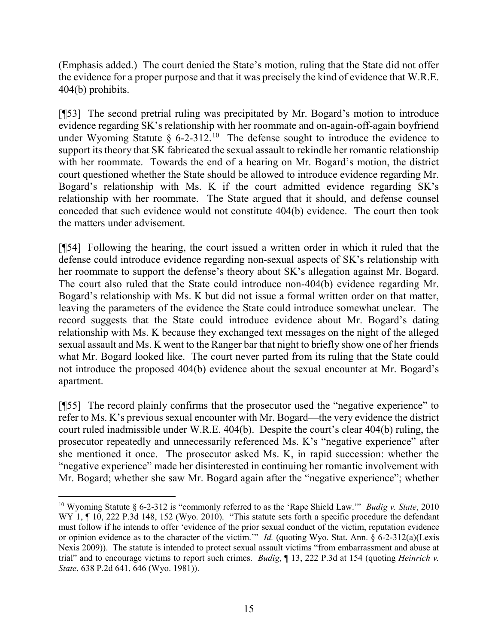(Emphasis added.) The court denied the State's motion, ruling that the State did not offer the evidence for a proper purpose and that it was precisely the kind of evidence that W.R.E. 404(b) prohibits.

[¶53] The second pretrial ruling was precipitated by Mr. Bogard's motion to introduce evidence regarding SK's relationship with her roommate and on-again-off-again boyfriend under Wyoming Statute  $\S$  6-2-312.<sup>10</sup> The defense sought to introduce the evidence to support its theory that SK fabricated the sexual assault to rekindle her romantic relationship with her roommate. Towards the end of a hearing on Mr. Bogard's motion, the district court questioned whether the State should be allowed to introduce evidence regarding Mr. Bogard's relationship with Ms. K if the court admitted evidence regarding SK's relationship with her roommate. The State argued that it should, and defense counsel conceded that such evidence would not constitute 404(b) evidence. The court then took the matters under advisement.

[¶54] Following the hearing, the court issued a written order in which it ruled that the defense could introduce evidence regarding non-sexual aspects of SK's relationship with her roommate to support the defense's theory about SK's allegation against Mr. Bogard. The court also ruled that the State could introduce non-404(b) evidence regarding Mr. Bogard's relationship with Ms. K but did not issue a formal written order on that matter, leaving the parameters of the evidence the State could introduce somewhat unclear. The record suggests that the State could introduce evidence about Mr. Bogard's dating relationship with Ms. K because they exchanged text messages on the night of the alleged sexual assault and Ms. K went to the Ranger bar that night to briefly show one of her friends what Mr. Bogard looked like. The court never parted from its ruling that the State could not introduce the proposed 404(b) evidence about the sexual encounter at Mr. Bogard's apartment.

[¶55] The record plainly confirms that the prosecutor used the "negative experience" to refer to Ms. K's previous sexual encounter with Mr. Bogard—the very evidence the district court ruled inadmissible under W.R.E. 404(b). Despite the court's clear 404(b) ruling, the prosecutor repeatedly and unnecessarily referenced Ms. K's "negative experience" after she mentioned it once. The prosecutor asked Ms. K, in rapid succession: whether the "negative experience" made her disinterested in continuing her romantic involvement with Mr. Bogard; whether she saw Mr. Bogard again after the "negative experience"; whether

<span id="page-15-0"></span> <sup>10</sup> Wyoming Statute § 6-2-312 is "commonly referred to as the 'Rape Shield Law.'" *Budig v. State*, 2010 WY 1,  $\P$  10, 222 P.3d 148, 152 (Wyo. 2010). "This statute sets forth a specific procedure the defendant must follow if he intends to offer 'evidence of the prior sexual conduct of the victim, reputation evidence or opinion evidence as to the character of the victim.'" *Id.* (quoting Wyo. Stat. Ann. § 6-2-312(a)(Lexis Nexis 2009)). The statute is intended to protect sexual assault victims "from embarrassment and abuse at trial" and to encourage victims to report such crimes. *Budig*, ¶ 13, 222 P.3d at 154 (quoting *Heinrich v. State*, 638 P.2d 641, 646 (Wyo. 1981)).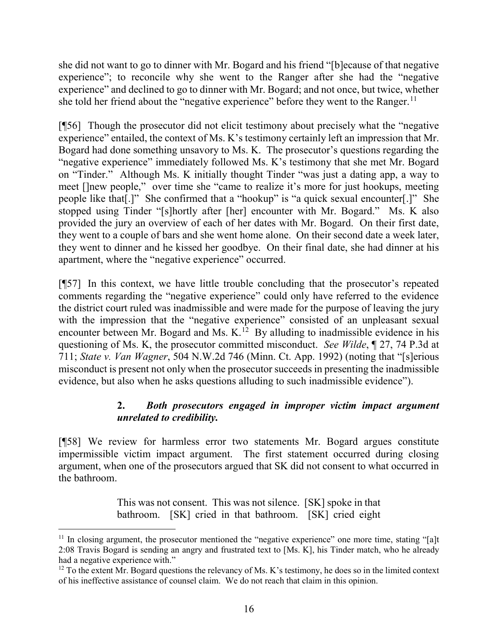she did not want to go to dinner with Mr. Bogard and his friend "[b]ecause of that negative experience"; to reconcile why she went to the Ranger after she had the "negative experience" and declined to go to dinner with Mr. Bogard; and not once, but twice, whether she told her friend about the "negative experience" before they went to the Ranger.<sup>[11](#page-16-0)</sup>

[¶56] Though the prosecutor did not elicit testimony about precisely what the "negative experience" entailed, the context of Ms. K's testimony certainly left an impression that Mr. Bogard had done something unsavory to Ms. K. The prosecutor's questions regarding the "negative experience" immediately followed Ms. K's testimony that she met Mr. Bogard on "Tinder." Although Ms. K initially thought Tinder "was just a dating app, a way to meet []new people," over time she "came to realize it's more for just hookups, meeting people like that[.]" She confirmed that a "hookup" is "a quick sexual encounter[.]" She stopped using Tinder "[s]hortly after [her] encounter with Mr. Bogard." Ms. K also provided the jury an overview of each of her dates with Mr. Bogard. On their first date, they went to a couple of bars and she went home alone. On their second date a week later, they went to dinner and he kissed her goodbye. On their final date, she had dinner at his apartment, where the "negative experience" occurred.

[¶57] In this context, we have little trouble concluding that the prosecutor's repeated comments regarding the "negative experience" could only have referred to the evidence the district court ruled was inadmissible and were made for the purpose of leaving the jury with the impression that the "negative experience" consisted of an unpleasant sexual encounter between Mr. Bogard and Ms. K.<sup>[12](#page-16-1)</sup> By alluding to inadmissible evidence in his questioning of Ms. K, the prosecutor committed misconduct. *See Wilde*, ¶ 27, 74 P.3d at 711; *State v. Van Wagner*, 504 N.W.2d 746 (Minn. Ct. App. 1992) (noting that "[s]erious misconduct is present not only when the prosecutor succeeds in presenting the inadmissible evidence, but also when he asks questions alluding to such inadmissible evidence").

## **2.** *Both prosecutors engaged in improper victim impact argument unrelated to credibility.*

[¶58] We review for harmless error two statements Mr. Bogard argues constitute impermissible victim impact argument. The first statement occurred during closing argument, when one of the prosecutors argued that SK did not consent to what occurred in the bathroom.

> This was not consent. This was not silence. [SK] spoke in that bathroom. [SK] cried in that bathroom. [SK] cried eight

<span id="page-16-0"></span> $11$  In closing argument, the prosecutor mentioned the "negative experience" one more time, stating "[a]t 2:08 Travis Bogard is sending an angry and frustrated text to [Ms. K], his Tinder match, who he already had a negative experience with."

<span id="page-16-1"></span> $12$  To the extent Mr. Bogard questions the relevancy of Ms. K's testimony, he does so in the limited context of his ineffective assistance of counsel claim. We do not reach that claim in this opinion.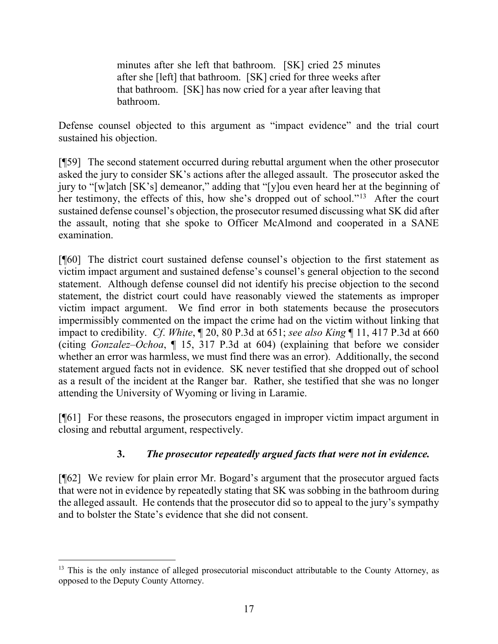minutes after she left that bathroom. [SK] cried 25 minutes after she [left] that bathroom. [SK] cried for three weeks after that bathroom. [SK] has now cried for a year after leaving that bathroom.

Defense counsel objected to this argument as "impact evidence" and the trial court sustained his objection.

[¶59] The second statement occurred during rebuttal argument when the other prosecutor asked the jury to consider SK's actions after the alleged assault. The prosecutor asked the jury to "[w]atch [SK's] demeanor," adding that "[y]ou even heard her at the beginning of her testimony, the effects of this, how she's dropped out of school."<sup>[13](#page-17-0)</sup> After the court sustained defense counsel's objection, the prosecutor resumed discussing what SK did after the assault, noting that she spoke to Officer McAlmond and cooperated in a SANE examination.

[¶60] The district court sustained defense counsel's objection to the first statement as victim impact argument and sustained defense's counsel's general objection to the second statement. Although defense counsel did not identify his precise objection to the second statement, the district court could have reasonably viewed the statements as improper victim impact argument. We find error in both statements because the prosecutors impermissibly commented on the impact the crime had on the victim without linking that impact to credibility. *Cf*. *White*, ¶ 20, 80 P.3d at 651; *see also King* ¶ 11, 417 P.3d at 660 (citing *Gonzalez–Ochoa*, ¶ 15, 317 P.3d at 604) (explaining that before we consider whether an error was harmless, we must find there was an error). Additionally, the second statement argued facts not in evidence. SK never testified that she dropped out of school as a result of the incident at the Ranger bar. Rather, she testified that she was no longer attending the University of Wyoming or living in Laramie.

[¶61] For these reasons, the prosecutors engaged in improper victim impact argument in closing and rebuttal argument, respectively.

## **3.** *The prosecutor repeatedly argued facts that were not in evidence.*

[¶62] We review for plain error Mr. Bogard's argument that the prosecutor argued facts that were not in evidence by repeatedly stating that SK was sobbing in the bathroom during the alleged assault. He contends that the prosecutor did so to appeal to the jury's sympathy and to bolster the State's evidence that she did not consent.

<span id="page-17-0"></span><sup>&</sup>lt;sup>13</sup> This is the only instance of alleged prosecutorial misconduct attributable to the County Attorney, as opposed to the Deputy County Attorney.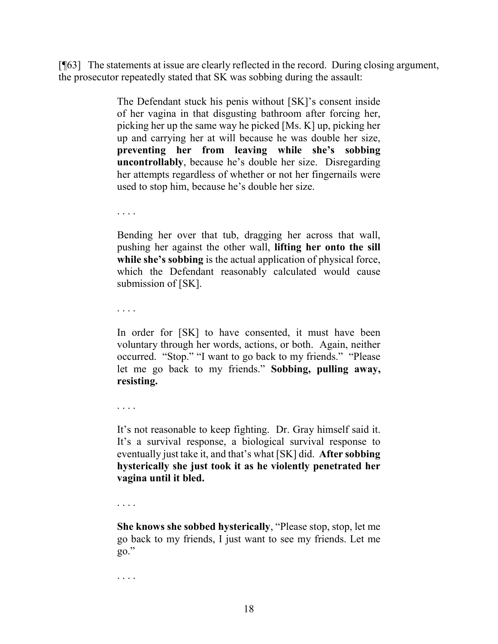[¶63] The statements at issue are clearly reflected in the record. During closing argument, the prosecutor repeatedly stated that SK was sobbing during the assault:

> The Defendant stuck his penis without [SK]'s consent inside of her vagina in that disgusting bathroom after forcing her, picking her up the same way he picked [Ms. K] up, picking her up and carrying her at will because he was double her size, **preventing her from leaving while she's sobbing uncontrollably**, because he's double her size. Disregarding her attempts regardless of whether or not her fingernails were used to stop him, because he's double her size.

. . . .

Bending her over that tub, dragging her across that wall, pushing her against the other wall, **lifting her onto the sill while she's sobbing** is the actual application of physical force, which the Defendant reasonably calculated would cause submission of [SK].

. . . .

In order for [SK] to have consented, it must have been voluntary through her words, actions, or both. Again, neither occurred. "Stop." "I want to go back to my friends." "Please let me go back to my friends." **Sobbing, pulling away, resisting.**

. . . .

It's not reasonable to keep fighting. Dr. Gray himself said it. It's a survival response, a biological survival response to eventually just take it, and that's what [SK] did. **After sobbing hysterically she just took it as he violently penetrated her vagina until it bled.**

. . . .

**She knows she sobbed hysterically**, "Please stop, stop, let me go back to my friends, I just want to see my friends. Let me go."

. . . .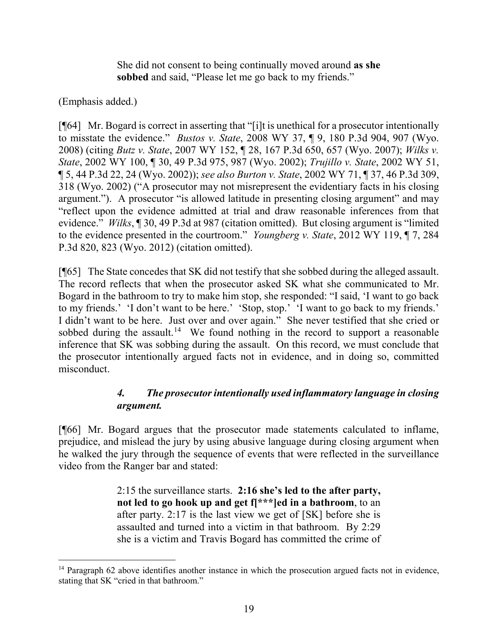She did not consent to being continually moved around **as she sobbed** and said, "Please let me go back to my friends."

### (Emphasis added.)

[¶64] Mr. Bogard is correct in asserting that "[i]t is unethical for a prosecutor intentionally to misstate the evidence." *Bustos v. State*, 2008 WY 37, ¶ 9, 180 P.3d 904, 907 (Wyo. 2008) (citing *Butz v. State*, 2007 WY 152, ¶ 28, 167 P.3d 650, 657 (Wyo. 2007); *Wilks v. State*, 2002 WY 100, ¶ 30, 49 P.3d 975, 987 (Wyo. 2002); *Trujillo v. State*, 2002 WY 51, ¶ 5, 44 P.3d 22, 24 (Wyo. 2002)); *see also Burton v. State*, 2002 WY 71, ¶ 37, 46 P.3d 309, 318 (Wyo. 2002) ("A prosecutor may not misrepresent the evidentiary facts in his closing argument."). A prosecutor "is allowed latitude in presenting closing argument" and may "reflect upon the evidence admitted at trial and draw reasonable inferences from that evidence." *Wilks*, ¶ 30, 49 P.3d at 987 (citation omitted). But closing argument is "limited to the evidence presented in the courtroom." *Youngberg v. State*, 2012 WY 119, ¶ 7, 284 P.3d 820, 823 (Wyo. 2012) (citation omitted).

[¶65] The State concedes that SK did not testify that she sobbed during the alleged assault. The record reflects that when the prosecutor asked SK what she communicated to Mr. Bogard in the bathroom to try to make him stop, she responded: "I said, 'I want to go back to my friends.' 'I don't want to be here.' 'Stop, stop.' 'I want to go back to my friends.' I didn't want to be here. Just over and over again." She never testified that she cried or sobbed during the assault.<sup>14</sup> We found nothing in the record to support a reasonable inference that SK was sobbing during the assault. On this record, we must conclude that the prosecutor intentionally argued facts not in evidence, and in doing so, committed misconduct.

## *4. The prosecutor intentionally used inflammatory language in closing argument.*

[¶66] Mr. Bogard argues that the prosecutor made statements calculated to inflame, prejudice, and mislead the jury by using abusive language during closing argument when he walked the jury through the sequence of events that were reflected in the surveillance video from the Ranger bar and stated:

> 2:15 the surveillance starts. **2:16 she's led to the after party, not led to go hook up and get f[\*\*\*]ed in a bathroom**, to an after party. 2:17 is the last view we get of [SK] before she is assaulted and turned into a victim in that bathroom. By 2:29 she is a victim and Travis Bogard has committed the crime of

<span id="page-19-0"></span><sup>&</sup>lt;sup>14</sup> Paragraph 62 above identifies another instance in which the prosecution argued facts not in evidence, stating that SK "cried in that bathroom."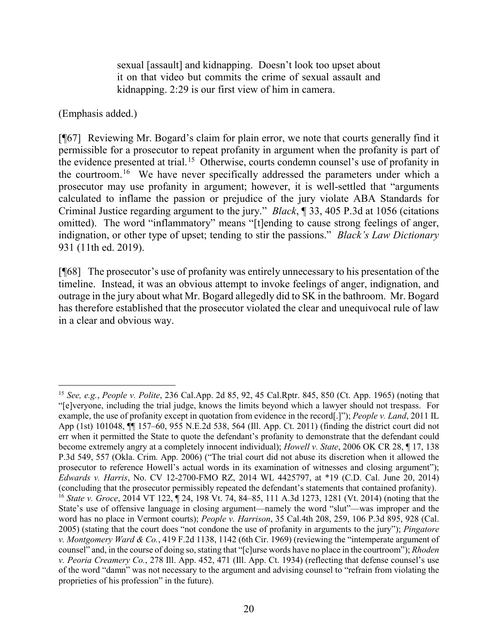sexual [assault] and kidnapping. Doesn't look too upset about it on that video but commits the crime of sexual assault and kidnapping. 2:29 is our first view of him in camera.

(Emphasis added.)

[¶67] Reviewing Mr. Bogard's claim for plain error, we note that courts generally find it permissible for a prosecutor to repeat profanity in argument when the profanity is part of the evidence presented at trial.<sup>15</sup> Otherwise, courts condemn counsel's use of profanity in the courtroom.[16](#page-20-1) We have never specifically addressed the parameters under which a prosecutor may use profanity in argument; however, it is well-settled that "arguments calculated to inflame the passion or prejudice of the jury violate ABA Standards for Criminal Justice regarding argument to the jury." *Black*, ¶ 33, 405 P.3d at 1056 (citations omitted). The word "inflammatory" means "[t]ending to cause strong feelings of anger, indignation, or other type of upset; tending to stir the passions." *Black's Law Dictionary* 931 (11th ed. 2019).

[¶68] The prosecutor's use of profanity was entirely unnecessary to his presentation of the timeline. Instead, it was an obvious attempt to invoke feelings of anger, indignation, and outrage in the jury about what Mr. Bogard allegedly did to SK in the bathroom. Mr. Bogard has therefore established that the prosecutor violated the clear and unequivocal rule of law in a clear and obvious way.

<span id="page-20-1"></span><span id="page-20-0"></span> <sup>15</sup> *See, e.g.*, *People v. Polite*, 236 Cal.App. 2d 85, 92, 45 Cal.Rptr. 845, 850 (Ct. App. 1965) (noting that "[e]veryone, including the trial judge, knows the limits beyond which a lawyer should not trespass. For example, the use of profanity except in quotation from evidence in the record[.]"); *People v. Land*, 2011 IL App (1st) 101048, ¶¶ 157–60, 955 N.E.2d 538, 564 (Ill. App. Ct. 2011) (finding the district court did not err when it permitted the State to quote the defendant's profanity to demonstrate that the defendant could become extremely angry at a completely innocent individual); *Howell v. State*, 2006 OK CR 28, ¶ 17, 138 P.3d 549, 557 (Okla. Crim. App. 2006) ("The trial court did not abuse its discretion when it allowed the prosecutor to reference Howell's actual words in its examination of witnesses and closing argument"); *Edwards v. Harris*, No. CV 12-2700-FMO RZ, 2014 WL 4425797, at \*19 (C.D. Cal. June 20, 2014) (concluding that the prosecutor permissibly repeated the defendant's statements that contained profanity). <sup>16</sup> *State v. Groce*, 2014 VT 122, ¶ 24, 198 Vt. 74, 84–85, 111 A.3d 1273, 1281 (Vt. 2014) (noting that the State's use of offensive language in closing argument—namely the word "slut"—was improper and the word has no place in Vermont courts); *People v. Harrison*, 35 Cal.4th 208, 259, 106 P.3d 895, 928 (Cal. 2005) (stating that the court does "not condone the use of profanity in arguments to the jury"); *Pingatore v. Montgomery Ward & Co.*, 419 F.2d 1138, 1142 (6th Cir. 1969) (reviewing the "intemperate argument of counsel" and, in the course of doing so, stating that "[c]urse words have no place in the courtroom"); *Rhoden v. Peoria Creamery Co.*, 278 Ill. App. 452, 471 (Ill. App. Ct. 1934) (reflecting that defense counsel's use of the word "damn" was not necessary to the argument and advising counsel to "refrain from violating the proprieties of his profession" in the future).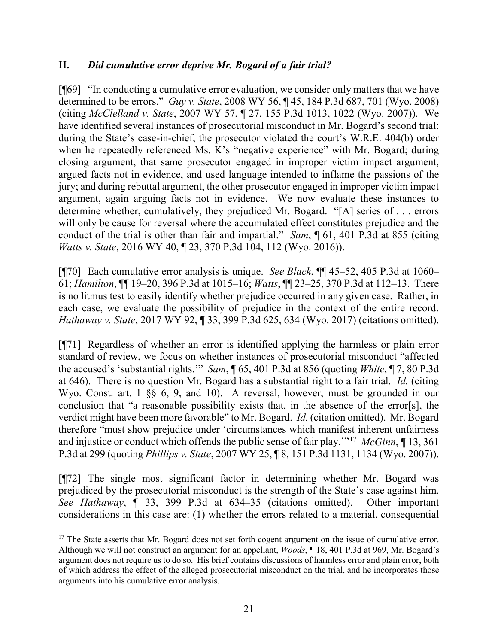### **II.** *Did cumulative error deprive Mr. Bogard of a fair trial?*

[¶69] "In conducting a cumulative error evaluation, we consider only matters that we have determined to be errors." *Guy v. State*, 2008 WY 56, ¶ 45, 184 P.3d 687, 701 (Wyo. 2008) (citing *McClelland v. State*, 2007 WY 57, ¶ 27, 155 P.3d 1013, 1022 (Wyo. 2007)). We have identified several instances of prosecutorial misconduct in Mr. Bogard's second trial: during the State's case-in-chief, the prosecutor violated the court's W.R.E. 404(b) order when he repeatedly referenced Ms. K's "negative experience" with Mr. Bogard; during closing argument, that same prosecutor engaged in improper victim impact argument, argued facts not in evidence, and used language intended to inflame the passions of the jury; and during rebuttal argument, the other prosecutor engaged in improper victim impact argument, again arguing facts not in evidence. We now evaluate these instances to determine whether, cumulatively, they prejudiced Mr. Bogard. "[A] series of . . . errors will only be cause for reversal where the accumulated effect constitutes prejudice and the conduct of the trial is other than fair and impartial." *Sam*, ¶ 61, 401 P.3d at 855 (citing *Watts v. State*, 2016 WY 40, ¶ 23, 370 P.3d 104, 112 (Wyo. 2016)).

[¶70] Each cumulative error analysis is unique. *See Black*, ¶¶ 45–52, 405 P.3d at 1060– 61; *Hamilton*, ¶¶ 19–20, 396 P.3d at 1015–16; *Watts*, ¶¶ 23–25, 370 P.3d at 112–13. There is no litmus test to easily identify whether prejudice occurred in any given case. Rather, in each case, we evaluate the possibility of prejudice in the context of the entire record. *Hathaway v. State*, 2017 WY 92, ¶ 33, 399 P.3d 625, 634 (Wyo. 2017) (citations omitted).

[¶71] Regardless of whether an error is identified applying the harmless or plain error standard of review, we focus on whether instances of prosecutorial misconduct "affected the accused's 'substantial rights.'" *Sam*, ¶ 65, 401 P.3d at 856 (quoting *White*, ¶ 7, 80 P.3d at 646). There is no question Mr. Bogard has a substantial right to a fair trial. *Id.* (citing Wyo. Const. art. 1 §§ 6, 9, and 10). A reversal, however, must be grounded in our conclusion that "a reasonable possibility exists that, in the absence of the error[s], the verdict might have been more favorable" to Mr. Bogard. *Id.* (citation omitted). Mr. Bogard therefore "must show prejudice under 'circumstances which manifest inherent unfairness and injustice or conduct which offends the public sense of fair play.'"[17](#page-21-0) *McGinn*, ¶ 13, 361 P.3d at 299 (quoting *Phillips v. State*, 2007 WY 25, ¶ 8, 151 P.3d 1131, 1134 (Wyo. 2007)).

[¶72] The single most significant factor in determining whether Mr. Bogard was prejudiced by the prosecutorial misconduct is the strength of the State's case against him. *See Hathaway*, ¶ 33, 399 P.3d at 634–35 (citations omitted). Other important considerations in this case are: (1) whether the errors related to a material, consequential

<span id="page-21-0"></span> $17$  The State asserts that Mr. Bogard does not set forth cogent argument on the issue of cumulative error. Although we will not construct an argument for an appellant, *Woods*, ¶ 18, 401 P.3d at 969, Mr. Bogard's argument does not require us to do so. His brief contains discussions of harmless error and plain error, both of which address the effect of the alleged prosecutorial misconduct on the trial, and he incorporates those arguments into his cumulative error analysis.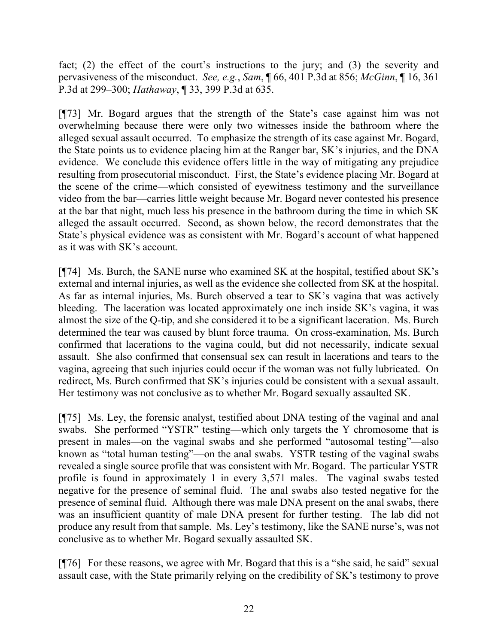fact; (2) the effect of the court's instructions to the jury; and (3) the severity and pervasiveness of the misconduct. *See, e.g.*, *Sam*, ¶ 66, 401 P.3d at 856; *McGinn*, ¶ 16, 361 P.3d at 299–300; *Hathaway*, ¶ 33, 399 P.3d at 635.

[¶73] Mr. Bogard argues that the strength of the State's case against him was not overwhelming because there were only two witnesses inside the bathroom where the alleged sexual assault occurred. To emphasize the strength of its case against Mr. Bogard, the State points us to evidence placing him at the Ranger bar, SK's injuries, and the DNA evidence. We conclude this evidence offers little in the way of mitigating any prejudice resulting from prosecutorial misconduct. First, the State's evidence placing Mr. Bogard at the scene of the crime—which consisted of eyewitness testimony and the surveillance video from the bar—carries little weight because Mr. Bogard never contested his presence at the bar that night, much less his presence in the bathroom during the time in which SK alleged the assault occurred. Second, as shown below, the record demonstrates that the State's physical evidence was as consistent with Mr. Bogard's account of what happened as it was with SK's account.

[¶74] Ms. Burch, the SANE nurse who examined SK at the hospital, testified about SK's external and internal injuries, as well as the evidence she collected from SK at the hospital. As far as internal injuries, Ms. Burch observed a tear to SK's vagina that was actively bleeding. The laceration was located approximately one inch inside SK's vagina, it was almost the size of the Q-tip, and she considered it to be a significant laceration. Ms. Burch determined the tear was caused by blunt force trauma. On cross-examination, Ms. Burch confirmed that lacerations to the vagina could, but did not necessarily, indicate sexual assault. She also confirmed that consensual sex can result in lacerations and tears to the vagina, agreeing that such injuries could occur if the woman was not fully lubricated. On redirect, Ms. Burch confirmed that SK's injuries could be consistent with a sexual assault. Her testimony was not conclusive as to whether Mr. Bogard sexually assaulted SK.

[¶75] Ms. Ley, the forensic analyst, testified about DNA testing of the vaginal and anal swabs. She performed "YSTR" testing—which only targets the Y chromosome that is present in males—on the vaginal swabs and she performed "autosomal testing"—also known as "total human testing"—on the anal swabs. YSTR testing of the vaginal swabs revealed a single source profile that was consistent with Mr. Bogard. The particular YSTR profile is found in approximately 1 in every 3,571 males. The vaginal swabs tested negative for the presence of seminal fluid. The anal swabs also tested negative for the presence of seminal fluid. Although there was male DNA present on the anal swabs, there was an insufficient quantity of male DNA present for further testing. The lab did not produce any result from that sample. Ms. Ley's testimony, like the SANE nurse's, was not conclusive as to whether Mr. Bogard sexually assaulted SK.

[¶76] For these reasons, we agree with Mr. Bogard that this is a "she said, he said" sexual assault case, with the State primarily relying on the credibility of SK's testimony to prove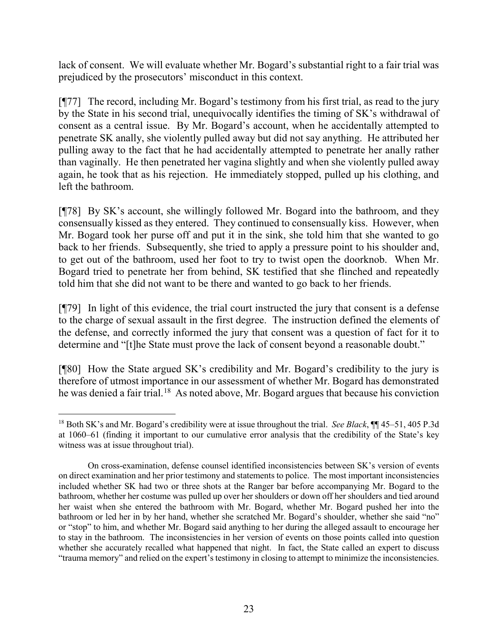lack of consent. We will evaluate whether Mr. Bogard's substantial right to a fair trial was prejudiced by the prosecutors' misconduct in this context.

[¶77] The record, including Mr. Bogard's testimony from his first trial, as read to the jury by the State in his second trial, unequivocally identifies the timing of SK's withdrawal of consent as a central issue. By Mr. Bogard's account, when he accidentally attempted to penetrate SK anally, she violently pulled away but did not say anything. He attributed her pulling away to the fact that he had accidentally attempted to penetrate her anally rather than vaginally. He then penetrated her vagina slightly and when she violently pulled away again, he took that as his rejection. He immediately stopped, pulled up his clothing, and left the bathroom.

[¶78] By SK's account, she willingly followed Mr. Bogard into the bathroom, and they consensually kissed as they entered. They continued to consensually kiss. However, when Mr. Bogard took her purse off and put it in the sink, she told him that she wanted to go back to her friends. Subsequently, she tried to apply a pressure point to his shoulder and, to get out of the bathroom, used her foot to try to twist open the doorknob. When Mr. Bogard tried to penetrate her from behind, SK testified that she flinched and repeatedly told him that she did not want to be there and wanted to go back to her friends.

[¶79] In light of this evidence, the trial court instructed the jury that consent is a defense to the charge of sexual assault in the first degree. The instruction defined the elements of the defense, and correctly informed the jury that consent was a question of fact for it to determine and "[t]he State must prove the lack of consent beyond a reasonable doubt."

[¶80] How the State argued SK's credibility and Mr. Bogard's credibility to the jury is therefore of utmost importance in our assessment of whether Mr. Bogard has demonstrated he was denied a fair trial.[18](#page-23-0) As noted above, Mr. Bogard argues that because his conviction

<span id="page-23-0"></span> <sup>18</sup> Both SK's and Mr. Bogard's credibility were at issue throughout the trial. *See Black*, ¶¶ 45–51, 405 P.3d at 1060–61 (finding it important to our cumulative error analysis that the credibility of the State's key witness was at issue throughout trial).

On cross-examination, defense counsel identified inconsistencies between SK's version of events on direct examination and her prior testimony and statements to police. The most important inconsistencies included whether SK had two or three shots at the Ranger bar before accompanying Mr. Bogard to the bathroom, whether her costume was pulled up over her shoulders or down off her shoulders and tied around her waist when she entered the bathroom with Mr. Bogard, whether Mr. Bogard pushed her into the bathroom or led her in by her hand, whether she scratched Mr. Bogard's shoulder, whether she said "no" or "stop" to him, and whether Mr. Bogard said anything to her during the alleged assault to encourage her to stay in the bathroom. The inconsistencies in her version of events on those points called into question whether she accurately recalled what happened that night. In fact, the State called an expert to discuss "trauma memory" and relied on the expert's testimony in closing to attempt to minimize the inconsistencies.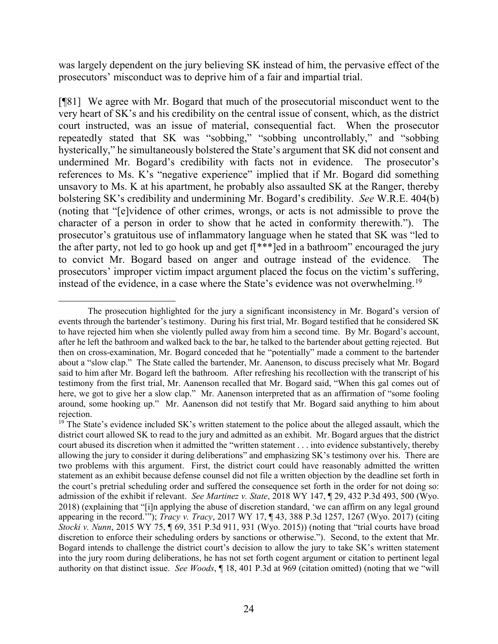was largely dependent on the jury believing SK instead of him, the pervasive effect of the prosecutors' misconduct was to deprive him of a fair and impartial trial.

[¶81] We agree with Mr. Bogard that much of the prosecutorial misconduct went to the very heart of SK's and his credibility on the central issue of consent, which, as the district court instructed, was an issue of material, consequential fact. When the prosecutor repeatedly stated that SK was "sobbing," "sobbing uncontrollably," and "sobbing hysterically," he simultaneously bolstered the State's argument that SK did not consent and undermined Mr. Bogard's credibility with facts not in evidence. The prosecutor's references to Ms. K's "negative experience" implied that if Mr. Bogard did something unsavory to Ms. K at his apartment, he probably also assaulted SK at the Ranger, thereby bolstering SK's credibility and undermining Mr. Bogard's credibility. *See* W.R.E. 404(b) (noting that "[e]vidence of other crimes, wrongs, or acts is not admissible to prove the character of a person in order to show that he acted in conformity therewith."). The prosecutor's gratuitous use of inflammatory language when he stated that SK was "led to the after party, not led to go hook up and get  $f[***]$ ed in a bathroom" encouraged the jury to convict Mr. Bogard based on anger and outrage instead of the evidence. The prosecutors' improper victim impact argument placed the focus on the victim's suffering, instead of the evidence, in a case where the State's evidence was not overwhelming.<sup>[19](#page-24-0)</sup>

 $\overline{a}$ The prosecution highlighted for the jury a significant inconsistency in Mr. Bogard's version of events through the bartender's testimony. During his first trial, Mr. Bogard testified that he considered SK to have rejected him when she violently pulled away from him a second time. By Mr. Bogard's account, after he left the bathroom and walked back to the bar, he talked to the bartender about getting rejected. But then on cross-examination, Mr. Bogard conceded that he "potentially" made a comment to the bartender about a "slow clap." The State called the bartender, Mr. Aanenson, to discuss precisely what Mr. Bogard said to him after Mr. Bogard left the bathroom. After refreshing his recollection with the transcript of his testimony from the first trial, Mr. Aanenson recalled that Mr. Bogard said, "When this gal comes out of here, we got to give her a slow clap." Mr. Aanenson interpreted that as an affirmation of "some fooling around, some hooking up." Mr. Aanenson did not testify that Mr. Bogard said anything to him about rejection.

<span id="page-24-0"></span><sup>&</sup>lt;sup>19</sup> The State's evidence included SK's written statement to the police about the alleged assault, which the district court allowed SK to read to the jury and admitted as an exhibit. Mr. Bogard argues that the district court abused its discretion when it admitted the "written statement . . . into evidence substantively, thereby allowing the jury to consider it during deliberations" and emphasizing SK's testimony over his. There are two problems with this argument. First, the district court could have reasonably admitted the written statement as an exhibit because defense counsel did not file a written objection by the deadline set forth in the court's pretrial scheduling order and suffered the consequence set forth in the order for not doing so: admission of the exhibit if relevant. *See Martinez v. State*, 2018 WY 147, ¶ 29, 432 P.3d 493, 500 (Wyo. 2018) (explaining that "[i]n applying the abuse of discretion standard, 'we can affirm on any legal ground appearing in the record.'"); *Tracy v. Tracy*, 2017 WY 17, ¶ 43, 388 P.3d 1257, 1267 (Wyo. 2017) (citing *Stocki v. Nunn*, 2015 WY 75, ¶ 69, 351 P.3d 911, 931 (Wyo. 2015)) (noting that "trial courts have broad discretion to enforce their scheduling orders by sanctions or otherwise."). Second, to the extent that Mr. Bogard intends to challenge the district court's decision to allow the jury to take SK's written statement into the jury room during deliberations, he has not set forth cogent argument or citation to pertinent legal authority on that distinct issue. *See Woods*, ¶ 18, 401 P.3d at 969 (citation omitted) (noting that we "will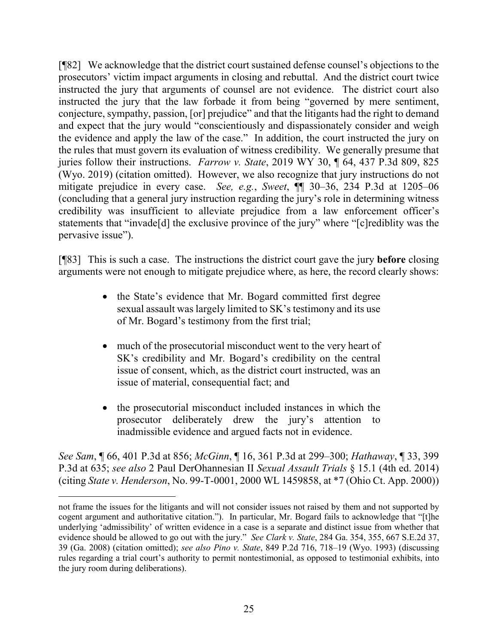[¶82] We acknowledge that the district court sustained defense counsel's objections to the prosecutors' victim impact arguments in closing and rebuttal. And the district court twice instructed the jury that arguments of counsel are not evidence. The district court also instructed the jury that the law forbade it from being "governed by mere sentiment, conjecture, sympathy, passion, [or] prejudice" and that the litigants had the right to demand and expect that the jury would "conscientiously and dispassionately consider and weigh the evidence and apply the law of the case." In addition, the court instructed the jury on the rules that must govern its evaluation of witness credibility. We generally presume that juries follow their instructions. *Farrow v. State*, 2019 WY 30, ¶ 64, 437 P.3d 809, 825 (Wyo. 2019) (citation omitted). However, we also recognize that jury instructions do not mitigate prejudice in every case. *See, e.g.*, *Sweet*, ¶¶ 30–36, 234 P.3d at 1205–06 (concluding that a general jury instruction regarding the jury's role in determining witness credibility was insufficient to alleviate prejudice from a law enforcement officer's statements that "invade[d] the exclusive province of the jury" where "[c]rediblity was the pervasive issue").

[¶83] This is such a case. The instructions the district court gave the jury **before** closing arguments were not enough to mitigate prejudice where, as here, the record clearly shows:

- the State's evidence that Mr. Bogard committed first degree sexual assault was largely limited to SK's testimony and its use of Mr. Bogard's testimony from the first trial;
- much of the prosecutorial misconduct went to the very heart of SK's credibility and Mr. Bogard's credibility on the central issue of consent, which, as the district court instructed, was an issue of material, consequential fact; and
- the prosecutorial misconduct included instances in which the prosecutor deliberately drew the jury's attention to inadmissible evidence and argued facts not in evidence.

*See Sam*, ¶ 66, 401 P.3d at 856; *McGinn*, ¶ 16, 361 P.3d at 299–300; *Hathaway*, ¶ 33, 399 P.3d at 635; *see also* 2 Paul DerOhannesian II *Sexual Assault Trials* § 15.1 (4th ed. 2014) (citing *State v. Henderson*, No. 99-T-0001, 2000 WL 1459858, at \*7 (Ohio Ct. App. 2000))

 $\overline{a}$ 

not frame the issues for the litigants and will not consider issues not raised by them and not supported by cogent argument and authoritative citation."). In particular, Mr. Bogard fails to acknowledge that "[t]he underlying 'admissibility' of written evidence in a case is a separate and distinct issue from whether that evidence should be allowed to go out with the jury." *See Clark v. State*, 284 Ga. 354, 355, 667 S.E.2d 37, 39 (Ga. 2008) (citation omitted); *see also Pino v. State*, 849 P.2d 716, 718–19 (Wyo. 1993) (discussing rules regarding a trial court's authority to permit nontestimonial, as opposed to testimonial exhibits, into the jury room during deliberations).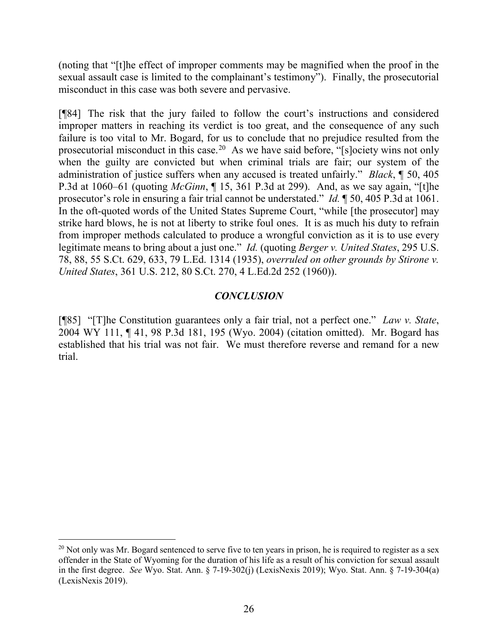(noting that "[t]he effect of improper comments may be magnified when the proof in the sexual assault case is limited to the complainant's testimony"). Finally, the prosecutorial misconduct in this case was both severe and pervasive.

[¶84] The risk that the jury failed to follow the court's instructions and considered improper matters in reaching its verdict is too great, and the consequence of any such failure is too vital to Mr. Bogard, for us to conclude that no prejudice resulted from the prosecutorial misconduct in this case.<sup>[20](#page-26-0)</sup> As we have said before, "[s]ociety wins not only when the guilty are convicted but when criminal trials are fair; our system of the administration of justice suffers when any accused is treated unfairly." *Black*, ¶ 50, 405 P.3d at 1060–61 (quoting *McGinn*, ¶ 15, 361 P.3d at 299). And, as we say again, "[t]he prosecutor's role in ensuring a fair trial cannot be understated." *Id.* ¶ 50, 405 P.3d at 1061. In the oft-quoted words of the United States Supreme Court, "while [the prosecutor] may strike hard blows, he is not at liberty to strike foul ones. It is as much his duty to refrain from improper methods calculated to produce a wrongful conviction as it is to use every legitimate means to bring about a just one." *Id.* (quoting *Berger v. United States*, 295 U.S. 78, 88, 55 S.Ct. 629, 633, 79 L.Ed. 1314 (1935), *overruled on other grounds by Stirone v. United States*, 361 U.S. 212, 80 S.Ct. 270, 4 L.Ed.2d 252 (1960)).

### *CONCLUSION*

[¶85] "[T]he Constitution guarantees only a fair trial, not a perfect one." *Law v. State*, 2004 WY 111, ¶ 41, 98 P.3d 181, 195 (Wyo. 2004) (citation omitted). Mr. Bogard has established that his trial was not fair. We must therefore reverse and remand for a new trial.

<span id="page-26-0"></span> $^{20}$  Not only was Mr. Bogard sentenced to serve five to ten years in prison, he is required to register as a sex offender in the State of Wyoming for the duration of his life as a result of his conviction for sexual assault in the first degree. *See* Wyo. Stat. Ann. § 7-19-302(j) (LexisNexis 2019); Wyo. Stat. Ann. § 7-19-304(a) (LexisNexis 2019).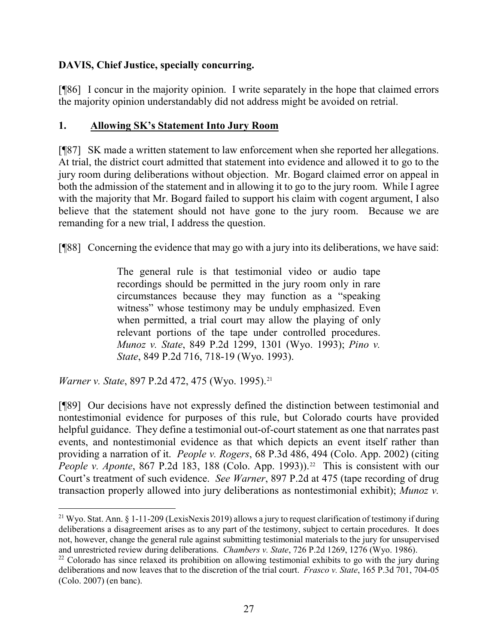### **DAVIS, Chief Justice, specially concurring.**

[¶86] I concur in the majority opinion. I write separately in the hope that claimed errors the majority opinion understandably did not address might be avoided on retrial.

### **1. Allowing SK's Statement Into Jury Room**

[¶87] SK made a written statement to law enforcement when she reported her allegations. At trial, the district court admitted that statement into evidence and allowed it to go to the jury room during deliberations without objection. Mr. Bogard claimed error on appeal in both the admission of the statement and in allowing it to go to the jury room. While I agree with the majority that Mr. Bogard failed to support his claim with cogent argument, I also believe that the statement should not have gone to the jury room. Because we are remanding for a new trial, I address the question.

[¶88] Concerning the evidence that may go with a jury into its deliberations, we have said:

The general rule is that testimonial video or audio tape recordings should be permitted in the jury room only in rare circumstances because they may function as a "speaking witness" whose testimony may be unduly emphasized. Even when permitted, a trial court may allow the playing of only relevant portions of the tape under controlled procedures. *Munoz v. State*, 849 P.2d 1299, 1301 (Wyo. 1993); *Pino v. State*, 849 P.2d 716, 718-19 (Wyo. 1993).

*Warner v. State, 897 P.2d 472, 475 (Wyo. 1995).*<sup>[21](#page-27-0)</sup>

[¶89] Our decisions have not expressly defined the distinction between testimonial and nontestimonial evidence for purposes of this rule, but Colorado courts have provided helpful guidance. They define a testimonial out-of-court statement as one that narrates past events, and nontestimonial evidence as that which depicts an event itself rather than providing a narration of it. *People v. Rogers*, 68 P.3d 486, 494 (Colo. App. 2002) (citing *People v. Aponte*, 867 P.2d 183, 188 (Colo. App. 1993)).<sup>22</sup> This is consistent with our Court's treatment of such evidence. *See Warner*, 897 P.2d at 475 (tape recording of drug transaction properly allowed into jury deliberations as nontestimonial exhibit); *Munoz v.* 

<span id="page-27-0"></span><sup>&</sup>lt;sup>21</sup> Wyo. Stat. Ann. § 1-11-209 (LexisNexis 2019) allows a jury to request clarification of testimony if during deliberations a disagreement arises as to any part of the testimony, subject to certain procedures. It does not, however, change the general rule against submitting testimonial materials to the jury for unsupervised and unrestricted review during deliberations. *Chambers v. State*, 726 P.2d 1269, 1276 (Wyo. 1986).

<span id="page-27-1"></span> $22$  Colorado has since relaxed its prohibition on allowing testimonial exhibits to go with the jury during deliberations and now leaves that to the discretion of the trial court. *Frasco v. State*, 165 P.3d 701, 704-05 (Colo. 2007) (en banc).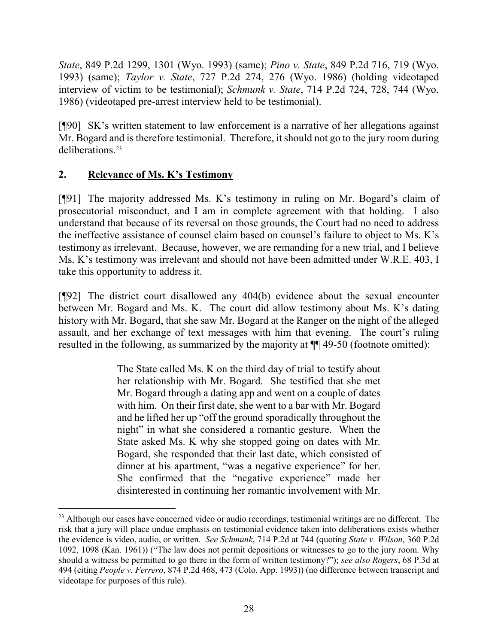*State*, 849 P.2d 1299, 1301 (Wyo. 1993) (same); *Pino v. State*, 849 P.2d 716, 719 (Wyo. 1993) (same); *Taylor v. State*, 727 P.2d 274, 276 (Wyo. 1986) (holding videotaped interview of victim to be testimonial); *Schmunk v. State*, 714 P.2d 724, 728, 744 (Wyo. 1986) (videotaped pre-arrest interview held to be testimonial).

[¶90] SK's written statement to law enforcement is a narrative of her allegations against Mr. Bogard and is therefore testimonial. Therefore, it should not go to the jury room during deliberations.[23](#page-28-0)

## **2. Relevance of Ms. K's Testimony**

[¶91] The majority addressed Ms. K's testimony in ruling on Mr. Bogard's claim of prosecutorial misconduct, and I am in complete agreement with that holding. I also understand that because of its reversal on those grounds, the Court had no need to address the ineffective assistance of counsel claim based on counsel's failure to object to Ms. K's testimony as irrelevant. Because, however, we are remanding for a new trial, and I believe Ms. K's testimony was irrelevant and should not have been admitted under W.R.E. 403, I take this opportunity to address it.

[¶92] The district court disallowed any 404(b) evidence about the sexual encounter between Mr. Bogard and Ms. K. The court did allow testimony about Ms. K's dating history with Mr. Bogard, that she saw Mr. Bogard at the Ranger on the night of the alleged assault, and her exchange of text messages with him that evening. The court's ruling resulted in the following, as summarized by the majority at ¶¶ 49-50 (footnote omitted):

> The State called Ms. K on the third day of trial to testify about her relationship with Mr. Bogard. She testified that she met Mr. Bogard through a dating app and went on a couple of dates with him. On their first date, she went to a bar with Mr. Bogard and he lifted her up "off the ground sporadically throughout the night" in what she considered a romantic gesture. When the State asked Ms. K why she stopped going on dates with Mr. Bogard, she responded that their last date, which consisted of dinner at his apartment, "was a negative experience" for her. She confirmed that the "negative experience" made her disinterested in continuing her romantic involvement with Mr.

<span id="page-28-0"></span><sup>&</sup>lt;sup>23</sup> Although our cases have concerned video or audio recordings, testimonial writings are no different. The risk that a jury will place undue emphasis on testimonial evidence taken into deliberations exists whether the evidence is video, audio, or written. *See Schmunk*, 714 P.2d at 744 (quoting *State v. Wilson*, 360 P.2d 1092, 1098 (Kan. 1961)) ("The law does not permit depositions or witnesses to go to the jury room. Why should a witness be permitted to go there in the form of written testimony?"); *see also Rogers*, 68 P.3d at 494 (citing *People v. Ferrero*, 874 P.2d 468, 473 (Colo. App. 1993)) (no difference between transcript and videotape for purposes of this rule).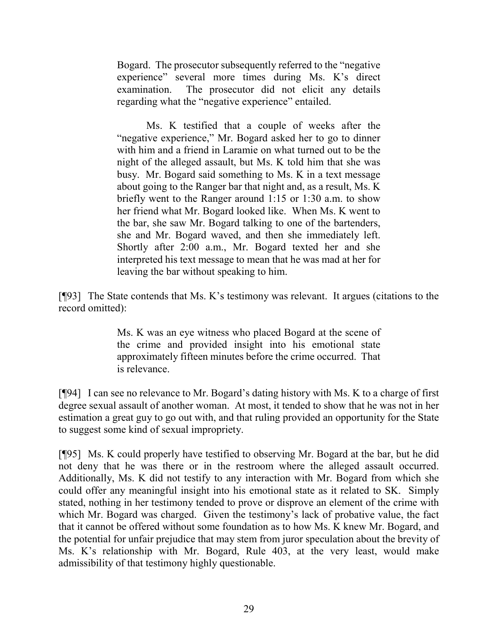Bogard. The prosecutor subsequently referred to the "negative experience" several more times during Ms. K's direct examination. The prosecutor did not elicit any details regarding what the "negative experience" entailed.

Ms. K testified that a couple of weeks after the "negative experience," Mr. Bogard asked her to go to dinner with him and a friend in Laramie on what turned out to be the night of the alleged assault, but Ms. K told him that she was busy. Mr. Bogard said something to Ms. K in a text message about going to the Ranger bar that night and, as a result, Ms. K briefly went to the Ranger around 1:15 or 1:30 a.m. to show her friend what Mr. Bogard looked like. When Ms. K went to the bar, she saw Mr. Bogard talking to one of the bartenders, she and Mr. Bogard waved, and then she immediately left. Shortly after 2:00 a.m., Mr. Bogard texted her and she interpreted his text message to mean that he was mad at her for leaving the bar without speaking to him.

[¶93] The State contends that Ms. K's testimony was relevant. It argues (citations to the record omitted):

> Ms. K was an eye witness who placed Bogard at the scene of the crime and provided insight into his emotional state approximately fifteen minutes before the crime occurred. That is relevance.

[¶94] I can see no relevance to Mr. Bogard's dating history with Ms. K to a charge of first degree sexual assault of another woman. At most, it tended to show that he was not in her estimation a great guy to go out with, and that ruling provided an opportunity for the State to suggest some kind of sexual impropriety.

[¶95] Ms. K could properly have testified to observing Mr. Bogard at the bar, but he did not deny that he was there or in the restroom where the alleged assault occurred. Additionally, Ms. K did not testify to any interaction with Mr. Bogard from which she could offer any meaningful insight into his emotional state as it related to SK. Simply stated, nothing in her testimony tended to prove or disprove an element of the crime with which Mr. Bogard was charged. Given the testimony's lack of probative value, the fact that it cannot be offered without some foundation as to how Ms. K knew Mr. Bogard, and the potential for unfair prejudice that may stem from juror speculation about the brevity of Ms. K's relationship with Mr. Bogard, Rule 403, at the very least, would make admissibility of that testimony highly questionable.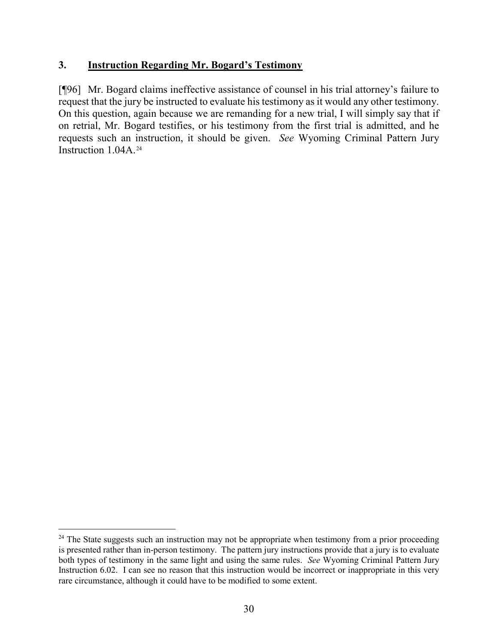### **3. Instruction Regarding Mr. Bogard's Testimony**

[¶96] Mr. Bogard claims ineffective assistance of counsel in his trial attorney's failure to request that the jury be instructed to evaluate his testimony as it would any other testimony. On this question, again because we are remanding for a new trial, I will simply say that if on retrial, Mr. Bogard testifies, or his testimony from the first trial is admitted, and he requests such an instruction, it should be given. *See* Wyoming Criminal Pattern Jury Instruction 1.04A.<sup>[24](#page-30-0)</sup>

<span id="page-30-0"></span><sup>&</sup>lt;sup>24</sup> The State suggests such an instruction may not be appropriate when testimony from a prior proceeding is presented rather than in-person testimony. The pattern jury instructions provide that a jury is to evaluate both types of testimony in the same light and using the same rules. *See* Wyoming Criminal Pattern Jury Instruction 6.02. I can see no reason that this instruction would be incorrect or inappropriate in this very rare circumstance, although it could have to be modified to some extent.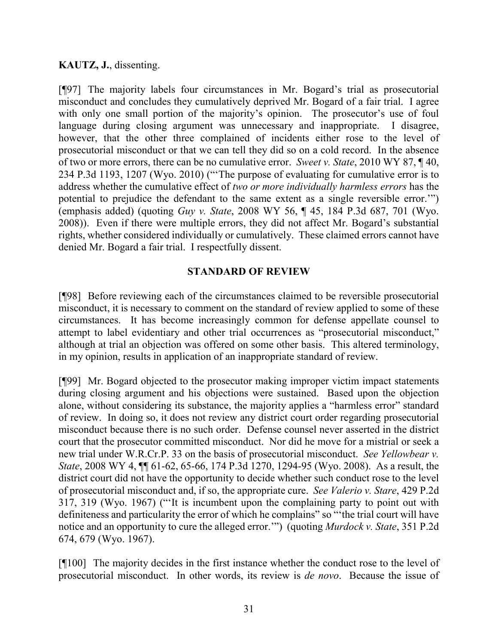### **KAUTZ, J.**, dissenting.

[¶97] The majority labels four circumstances in Mr. Bogard's trial as prosecutorial misconduct and concludes they cumulatively deprived Mr. Bogard of a fair trial. I agree with only one small portion of the majority's opinion. The prosecutor's use of foul language during closing argument was unnecessary and inappropriate. I disagree, however, that the other three complained of incidents either rose to the level of prosecutorial misconduct or that we can tell they did so on a cold record. In the absence of two or more errors, there can be no cumulative error. *Sweet v. State*, 2010 WY 87, ¶ 40, 234 P.3d 1193, 1207 (Wyo. 2010) ("'The purpose of evaluating for cumulative error is to address whether the cumulative effect of *two or more individually harmless errors* has the potential to prejudice the defendant to the same extent as a single reversible error.'") (emphasis added) (quoting *Guy v. State*, 2008 WY 56, ¶ 45, 184 P.3d 687, 701 (Wyo. 2008)). Even if there were multiple errors, they did not affect Mr. Bogard's substantial rights, whether considered individually or cumulatively. These claimed errors cannot have denied Mr. Bogard a fair trial. I respectfully dissent.

#### **STANDARD OF REVIEW**

[¶98] Before reviewing each of the circumstances claimed to be reversible prosecutorial misconduct, it is necessary to comment on the standard of review applied to some of these circumstances. It has become increasingly common for defense appellate counsel to attempt to label evidentiary and other trial occurrences as "prosecutorial misconduct," although at trial an objection was offered on some other basis. This altered terminology, in my opinion, results in application of an inappropriate standard of review.

[¶99] Mr. Bogard objected to the prosecutor making improper victim impact statements during closing argument and his objections were sustained. Based upon the objection alone, without considering its substance, the majority applies a "harmless error" standard of review. In doing so, it does not review any district court order regarding prosecutorial misconduct because there is no such order. Defense counsel never asserted in the district court that the prosecutor committed misconduct. Nor did he move for a mistrial or seek a new trial under W.R.Cr.P. 33 on the basis of prosecutorial misconduct. *See Yellowbear v. State*, 2008 WY 4, ¶¶ 61-62, 65-66, 174 P.3d 1270, 1294-95 (Wyo. 2008). As a result, the district court did not have the opportunity to decide whether such conduct rose to the level of prosecutorial misconduct and, if so, the appropriate cure. *See Valerio v. Stare*, 429 P.2d 317, 319 (Wyo. 1967) ("'It is incumbent upon the complaining party to point out with definiteness and particularity the error of which he complains" so "'the trial court will have notice and an opportunity to cure the alleged error.'") (quoting *Murdock v. State*, 351 P.2d 674, 679 (Wyo. 1967).

[¶100] The majority decides in the first instance whether the conduct rose to the level of prosecutorial misconduct. In other words, its review is *de novo*. Because the issue of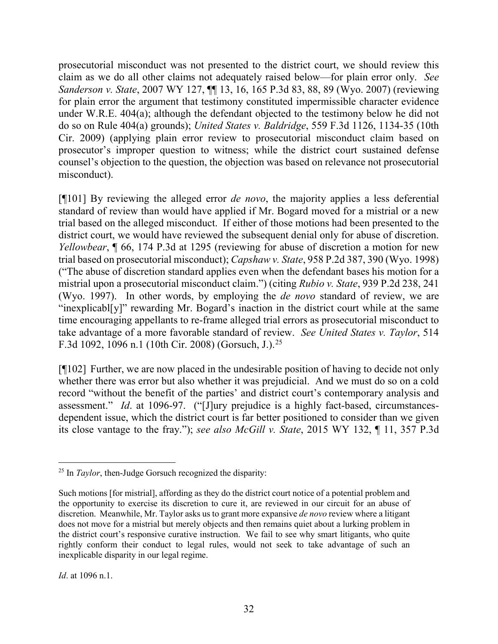prosecutorial misconduct was not presented to the district court, we should review this claim as we do all other claims not adequately raised below—for plain error only. *See Sanderson v. State*, 2007 WY 127, ¶¶ 13, 16, 165 P.3d 83, 88, 89 (Wyo. 2007) (reviewing for plain error the argument that testimony constituted impermissible character evidence under W.R.E. 404(a); although the defendant objected to the testimony below he did not do so on Rule 404(a) grounds); *United States v. Baldridge*, 559 F.3d 1126, 1134-35 (10th Cir. 2009) (applying plain error review to prosecutorial misconduct claim based on prosecutor's improper question to witness; while the district court sustained defense counsel's objection to the question, the objection was based on relevance not prosecutorial misconduct).

[¶101] By reviewing the alleged error *de novo*, the majority applies a less deferential standard of review than would have applied if Mr. Bogard moved for a mistrial or a new trial based on the alleged misconduct. If either of those motions had been presented to the district court, we would have reviewed the subsequent denial only for abuse of discretion. *Yellowbear*, **[66, 174 P.3d at 1295 (reviewing for abuse of discretion a motion for new** trial based on prosecutorial misconduct); *Capshaw v. State*, 958 P.2d 387, 390 (Wyo. 1998) ("The abuse of discretion standard applies even when the defendant bases his motion for a mistrial upon a prosecutorial misconduct claim.") (citing *Rubio v. State*, 939 P.2d 238, 241 (Wyo. 1997). In other words, by employing the *de novo* standard of review, we are "inexplicabl[y]" rewarding Mr. Bogard's inaction in the district court while at the same time encouraging appellants to re-frame alleged trial errors as prosecutorial misconduct to take advantage of a more favorable standard of review. *See United States v. Taylor*, 514 F.3d 1092, 1096 n.1 (10th Cir. 2008) (Gorsuch, J.).[25](#page-32-0)

[¶102] Further, we are now placed in the undesirable position of having to decide not only whether there was error but also whether it was prejudicial. And we must do so on a cold record "without the benefit of the parties' and district court's contemporary analysis and assessment." *Id*. at 1096-97. ("[J]ury prejudice is a highly fact-based, circumstancesdependent issue, which the district court is far better positioned to consider than we given its close vantage to the fray."); *see also McGill v. State*, 2015 WY 132, ¶ 11, 357 P.3d

*Id*. at 1096 n.1.

<span id="page-32-0"></span><sup>&</sup>lt;sup>25</sup> In *Taylor*, then-Judge Gorsuch recognized the disparity:

Such motions [for mistrial], affording as they do the district court notice of a potential problem and the opportunity to exercise its discretion to cure it, are reviewed in our circuit for an abuse of discretion. Meanwhile, Mr. Taylor asks us to grant more expansive *de novo* review where a litigant does not move for a mistrial but merely objects and then remains quiet about a lurking problem in the district court's responsive curative instruction. We fail to see why smart litigants, who quite rightly conform their conduct to legal rules, would not seek to take advantage of such an inexplicable disparity in our legal regime.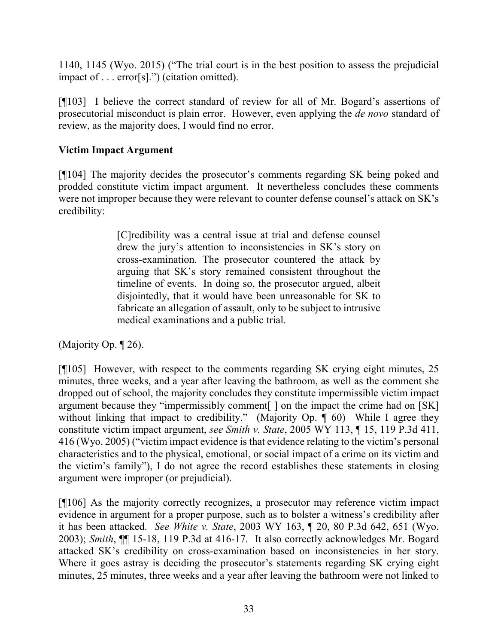1140, 1145 (Wyo. 2015) ("The trial court is in the best position to assess the prejudicial impact of . . . error[s].") (citation omitted).

[¶103] I believe the correct standard of review for all of Mr. Bogard's assertions of prosecutorial misconduct is plain error. However, even applying the *de novo* standard of review, as the majority does, I would find no error.

### **Victim Impact Argument**

[¶104] The majority decides the prosecutor's comments regarding SK being poked and prodded constitute victim impact argument. It nevertheless concludes these comments were not improper because they were relevant to counter defense counsel's attack on SK's credibility:

> [C]redibility was a central issue at trial and defense counsel drew the jury's attention to inconsistencies in SK's story on cross-examination. The prosecutor countered the attack by arguing that SK's story remained consistent throughout the timeline of events. In doing so, the prosecutor argued, albeit disjointedly, that it would have been unreasonable for SK to fabricate an allegation of assault, only to be subject to intrusive medical examinations and a public trial.

(Majority Op. ¶ 26).

[¶105] However, with respect to the comments regarding SK crying eight minutes, 25 minutes, three weeks, and a year after leaving the bathroom, as well as the comment she dropped out of school, the majority concludes they constitute impermissible victim impact argument because they "impermissibly comment[ ] on the impact the crime had on [SK] without linking that impact to credibility." (Majority Op.  $\hat{\P}$  60) While I agree they constitute victim impact argument, *see Smith v. State*, 2005 WY 113, ¶ 15, 119 P.3d 411, 416 (Wyo. 2005) ("victim impact evidence is that evidence relating to the victim's personal characteristics and to the physical, emotional, or social impact of a crime on its victim and the victim's family"), I do not agree the record establishes these statements in closing argument were improper (or prejudicial).

[¶106] As the majority correctly recognizes, a prosecutor may reference victim impact evidence in argument for a proper purpose, such as to bolster a witness's credibility after it has been attacked. *See White v. State*, 2003 WY 163, ¶ 20, 80 P.3d 642, 651 (Wyo. 2003); *Smith*, ¶¶ 15-18, 119 P.3d at 416-17. It also correctly acknowledges Mr. Bogard attacked SK's credibility on cross-examination based on inconsistencies in her story. Where it goes astray is deciding the prosecutor's statements regarding SK crying eight minutes, 25 minutes, three weeks and a year after leaving the bathroom were not linked to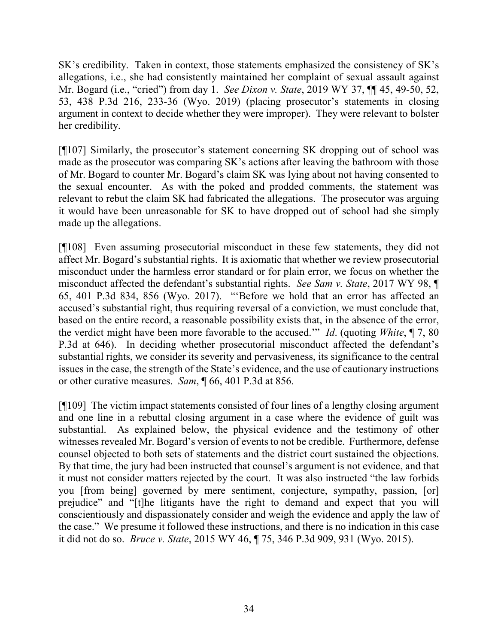SK's credibility. Taken in context, those statements emphasized the consistency of SK's allegations, i.e., she had consistently maintained her complaint of sexual assault against Mr. Bogard (i.e., "cried") from day 1. *See Dixon v. State*, 2019 WY 37, ¶¶ 45, 49-50, 52, 53, 438 P.3d 216, 233-36 (Wyo. 2019) (placing prosecutor's statements in closing argument in context to decide whether they were improper). They were relevant to bolster her credibility.

[¶107] Similarly, the prosecutor's statement concerning SK dropping out of school was made as the prosecutor was comparing SK's actions after leaving the bathroom with those of Mr. Bogard to counter Mr. Bogard's claim SK was lying about not having consented to the sexual encounter. As with the poked and prodded comments, the statement was relevant to rebut the claim SK had fabricated the allegations. The prosecutor was arguing it would have been unreasonable for SK to have dropped out of school had she simply made up the allegations.

[¶108] Even assuming prosecutorial misconduct in these few statements, they did not affect Mr. Bogard's substantial rights. It is axiomatic that whether we review prosecutorial misconduct under the harmless error standard or for plain error, we focus on whether the misconduct affected the defendant's substantial rights. *See Sam v. State*, 2017 WY 98, ¶ 65, 401 P.3d 834, 856 (Wyo. 2017). "'Before we hold that an error has affected an accused's substantial right, thus requiring reversal of a conviction, we must conclude that, based on the entire record, a reasonable possibility exists that, in the absence of the error, the verdict might have been more favorable to the accused.'" *Id*. (quoting *White*, ¶ 7, 80 P.3d at 646). In deciding whether prosecutorial misconduct affected the defendant's substantial rights, we consider its severity and pervasiveness, its significance to the central issues in the case, the strength of the State's evidence, and the use of cautionary instructions or other curative measures. *Sam*, ¶ 66, 401 P.3d at 856.

[¶109] The victim impact statements consisted of four lines of a lengthy closing argument and one line in a rebuttal closing argument in a case where the evidence of guilt was substantial. As explained below, the physical evidence and the testimony of other witnesses revealed Mr. Bogard's version of events to not be credible. Furthermore, defense counsel objected to both sets of statements and the district court sustained the objections. By that time, the jury had been instructed that counsel's argument is not evidence, and that it must not consider matters rejected by the court. It was also instructed "the law forbids you [from being] governed by mere sentiment, conjecture, sympathy, passion, [or] prejudice" and "[t]he litigants have the right to demand and expect that you will conscientiously and dispassionately consider and weigh the evidence and apply the law of the case." We presume it followed these instructions, and there is no indication in this case it did not do so. *Bruce v. State*, 2015 WY 46, ¶ 75, 346 P.3d 909, 931 (Wyo. 2015).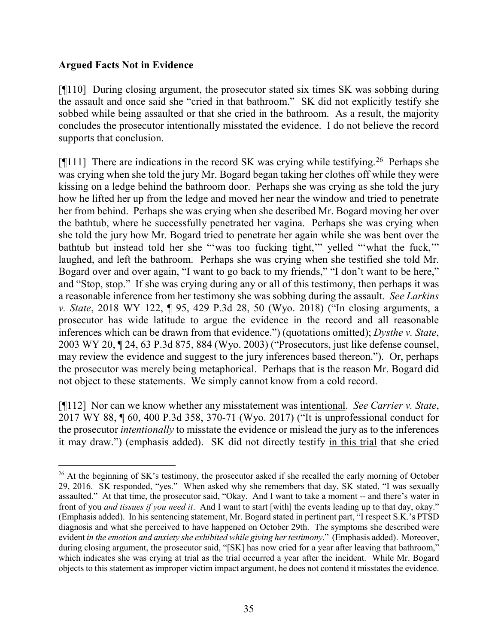#### **Argued Facts Not in Evidence**

[¶110] During closing argument, the prosecutor stated six times SK was sobbing during the assault and once said she "cried in that bathroom." SK did not explicitly testify she sobbed while being assaulted or that she cried in the bathroom. As a result, the majority concludes the prosecutor intentionally misstated the evidence. I do not believe the record supports that conclusion.

[ $[$ [111] There are indications in the record SK was crying while testifying.<sup>[26](#page-35-0)</sup> Perhaps she was crying when she told the jury Mr. Bogard began taking her clothes off while they were kissing on a ledge behind the bathroom door. Perhaps she was crying as she told the jury how he lifted her up from the ledge and moved her near the window and tried to penetrate her from behind. Perhaps she was crying when she described Mr. Bogard moving her over the bathtub, where he successfully penetrated her vagina. Perhaps she was crying when she told the jury how Mr. Bogard tried to penetrate her again while she was bent over the bathtub but instead told her she "'was too fucking tight,'" yelled "'what the fuck,'" laughed, and left the bathroom. Perhaps she was crying when she testified she told Mr. Bogard over and over again, "I want to go back to my friends," "I don't want to be here," and "Stop, stop." If she was crying during any or all of this testimony, then perhaps it was a reasonable inference from her testimony she was sobbing during the assault. *See Larkins v. State*, 2018 WY 122, ¶ 95, 429 P.3d 28, 50 (Wyo. 2018) ("In closing arguments, a prosecutor has wide latitude to argue the evidence in the record and all reasonable inferences which can be drawn from that evidence.") (quotations omitted); *Dysthe v. State*, 2003 WY 20, ¶ 24, 63 P.3d 875, 884 (Wyo. 2003) ("Prosecutors, just like defense counsel, may review the evidence and suggest to the jury inferences based thereon."). Or, perhaps the prosecutor was merely being metaphorical. Perhaps that is the reason Mr. Bogard did not object to these statements. We simply cannot know from a cold record.

[¶112] Nor can we know whether any misstatement was intentional. *See Carrier v. State*, 2017 WY 88, ¶ 60, 400 P.3d 358, 370-71 (Wyo. 2017) ("It is unprofessional conduct for the prosecutor *intentionally* to misstate the evidence or mislead the jury as to the inferences it may draw.") (emphasis added). SK did not directly testify in this trial that she cried

<span id="page-35-0"></span><sup>&</sup>lt;sup>26</sup> At the beginning of SK's testimony, the prosecutor asked if she recalled the early morning of October 29, 2016. SK responded, "yes." When asked why she remembers that day, SK stated, "I was sexually assaulted." At that time, the prosecutor said, "Okay. And I want to take a moment -- and there's water in front of you *and tissues if you need it*. And I want to start [with] the events leading up to that day, okay." (Emphasis added). In his sentencing statement, Mr. Bogard stated in pertinent part, "I respect S.K.'s PTSD diagnosis and what she perceived to have happened on October 29th. The symptoms she described were evident *in the emotion and anxiety she exhibited while giving her testimony*." (Emphasis added). Moreover, during closing argument, the prosecutor said, "[SK] has now cried for a year after leaving that bathroom," which indicates she was crying at trial as the trial occurred a year after the incident. While Mr. Bogard objects to this statement as improper victim impact argument, he does not contend it misstates the evidence.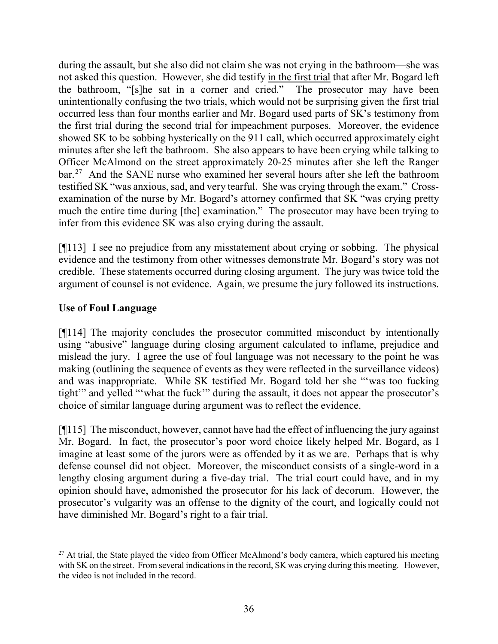during the assault, but she also did not claim she was not crying in the bathroom—she was not asked this question. However, she did testify in the first trial that after Mr. Bogard left the bathroom, "[s]he sat in a corner and cried." The prosecutor may have been unintentionally confusing the two trials, which would not be surprising given the first trial occurred less than four months earlier and Mr. Bogard used parts of SK's testimony from the first trial during the second trial for impeachment purposes. Moreover, the evidence showed SK to be sobbing hysterically on the 911 call, which occurred approximately eight minutes after she left the bathroom. She also appears to have been crying while talking to Officer McAlmond on the street approximately 20-25 minutes after she left the Ranger bar.[27](#page-36-0) And the SANE nurse who examined her several hours after she left the bathroom testified SK "was anxious, sad, and very tearful. She was crying through the exam." Crossexamination of the nurse by Mr. Bogard's attorney confirmed that SK "was crying pretty much the entire time during [the] examination." The prosecutor may have been trying to infer from this evidence SK was also crying during the assault.

[¶113] I see no prejudice from any misstatement about crying or sobbing. The physical evidence and the testimony from other witnesses demonstrate Mr. Bogard's story was not credible. These statements occurred during closing argument. The jury was twice told the argument of counsel is not evidence. Again, we presume the jury followed its instructions.

## **Use of Foul Language**

[¶114] The majority concludes the prosecutor committed misconduct by intentionally using "abusive" language during closing argument calculated to inflame, prejudice and mislead the jury. I agree the use of foul language was not necessary to the point he was making (outlining the sequence of events as they were reflected in the surveillance videos) and was inappropriate. While SK testified Mr. Bogard told her she "'was too fucking tight'" and yelled "'what the fuck'" during the assault, it does not appear the prosecutor's choice of similar language during argument was to reflect the evidence.

[¶115] The misconduct, however, cannot have had the effect of influencing the jury against Mr. Bogard. In fact, the prosecutor's poor word choice likely helped Mr. Bogard, as I imagine at least some of the jurors were as offended by it as we are. Perhaps that is why defense counsel did not object. Moreover, the misconduct consists of a single-word in a lengthy closing argument during a five-day trial. The trial court could have, and in my opinion should have, admonished the prosecutor for his lack of decorum. However, the prosecutor's vulgarity was an offense to the dignity of the court, and logically could not have diminished Mr. Bogard's right to a fair trial.

<span id="page-36-0"></span> $27$  At trial, the State played the video from Officer McAlmond's body camera, which captured his meeting with SK on the street. From several indications in the record, SK was crying during this meeting. However, the video is not included in the record.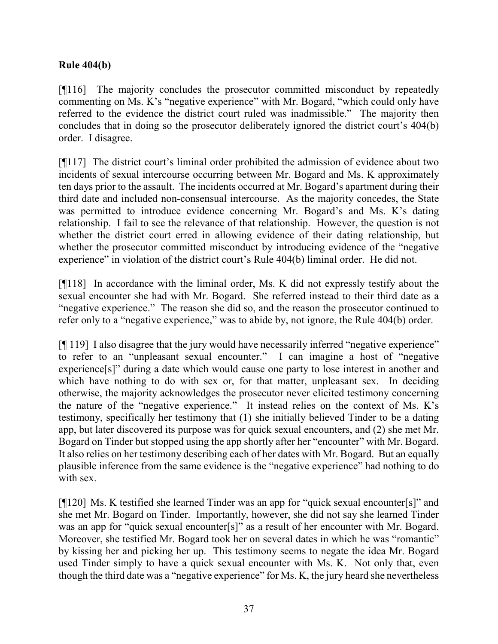### **Rule 404(b)**

[¶116] The majority concludes the prosecutor committed misconduct by repeatedly commenting on Ms. K's "negative experience" with Mr. Bogard, "which could only have referred to the evidence the district court ruled was inadmissible." The majority then concludes that in doing so the prosecutor deliberately ignored the district court's 404(b) order. I disagree.

[¶117] The district court's liminal order prohibited the admission of evidence about two incidents of sexual intercourse occurring between Mr. Bogard and Ms. K approximately ten days prior to the assault. The incidents occurred at Mr. Bogard's apartment during their third date and included non-consensual intercourse. As the majority concedes, the State was permitted to introduce evidence concerning Mr. Bogard's and Ms. K's dating relationship. I fail to see the relevance of that relationship. However, the question is not whether the district court erred in allowing evidence of their dating relationship, but whether the prosecutor committed misconduct by introducing evidence of the "negative experience" in violation of the district court's Rule 404(b) liminal order. He did not.

[¶118] In accordance with the liminal order, Ms. K did not expressly testify about the sexual encounter she had with Mr. Bogard. She referred instead to their third date as a "negative experience." The reason she did so, and the reason the prosecutor continued to refer only to a "negative experience," was to abide by, not ignore, the Rule 404(b) order.

[¶ 119] I also disagree that the jury would have necessarily inferred "negative experience" to refer to an "unpleasant sexual encounter." I can imagine a host of "negative experience[s]" during a date which would cause one party to lose interest in another and which have nothing to do with sex or, for that matter, unpleasant sex. In deciding otherwise, the majority acknowledges the prosecutor never elicited testimony concerning the nature of the "negative experience." It instead relies on the context of Ms. K's testimony, specifically her testimony that (1) she initially believed Tinder to be a dating app, but later discovered its purpose was for quick sexual encounters, and (2) she met Mr. Bogard on Tinder but stopped using the app shortly after her "encounter" with Mr. Bogard. It also relies on her testimony describing each of her dates with Mr. Bogard. But an equally plausible inference from the same evidence is the "negative experience" had nothing to do with sex.

[¶120] Ms. K testified she learned Tinder was an app for "quick sexual encounter[s]" and she met Mr. Bogard on Tinder. Importantly, however, she did not say she learned Tinder was an app for "quick sexual encounter[s]" as a result of her encounter with Mr. Bogard. Moreover, she testified Mr. Bogard took her on several dates in which he was "romantic" by kissing her and picking her up. This testimony seems to negate the idea Mr. Bogard used Tinder simply to have a quick sexual encounter with Ms. K. Not only that, even though the third date was a "negative experience" for Ms. K, the jury heard she nevertheless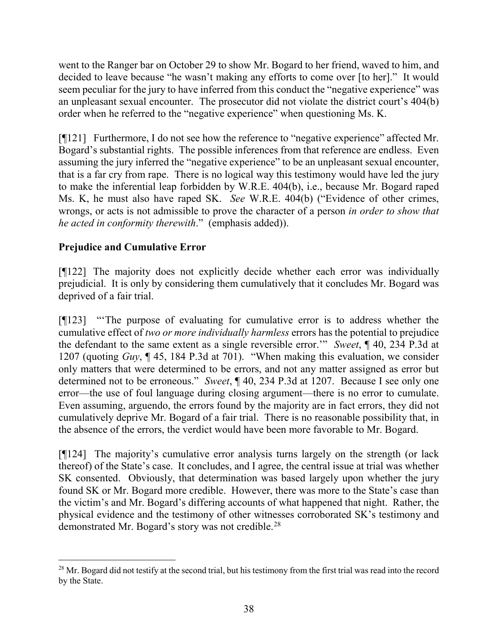went to the Ranger bar on October 29 to show Mr. Bogard to her friend, waved to him, and decided to leave because "he wasn't making any efforts to come over [to her]." It would seem peculiar for the jury to have inferred from this conduct the "negative experience" was an unpleasant sexual encounter. The prosecutor did not violate the district court's 404(b) order when he referred to the "negative experience" when questioning Ms. K.

[¶121] Furthermore, I do not see how the reference to "negative experience" affected Mr. Bogard's substantial rights. The possible inferences from that reference are endless. Even assuming the jury inferred the "negative experience" to be an unpleasant sexual encounter, that is a far cry from rape. There is no logical way this testimony would have led the jury to make the inferential leap forbidden by W.R.E. 404(b), i.e., because Mr. Bogard raped Ms. K, he must also have raped SK. *See* W.R.E. 404(b) ("Evidence of other crimes, wrongs, or acts is not admissible to prove the character of a person *in order to show that he acted in conformity therewith*." (emphasis added)).

# **Prejudice and Cumulative Error**

[¶122] The majority does not explicitly decide whether each error was individually prejudicial. It is only by considering them cumulatively that it concludes Mr. Bogard was deprived of a fair trial.

[¶123] "'The purpose of evaluating for cumulative error is to address whether the cumulative effect of *two or more individually harmless* errors has the potential to prejudice the defendant to the same extent as a single reversible error.'" *Sweet*, ¶ 40, 234 P.3d at 1207 (quoting *Guy*, ¶ 45, 184 P.3d at 701). "When making this evaluation, we consider only matters that were determined to be errors, and not any matter assigned as error but determined not to be erroneous." *Sweet*, ¶ 40, 234 P.3d at 1207. Because I see only one error—the use of foul language during closing argument—there is no error to cumulate. Even assuming, arguendo, the errors found by the majority are in fact errors, they did not cumulatively deprive Mr. Bogard of a fair trial. There is no reasonable possibility that, in the absence of the errors, the verdict would have been more favorable to Mr. Bogard.

[¶124] The majority's cumulative error analysis turns largely on the strength (or lack thereof) of the State's case. It concludes, and I agree, the central issue at trial was whether SK consented. Obviously, that determination was based largely upon whether the jury found SK or Mr. Bogard more credible. However, there was more to the State's case than the victim's and Mr. Bogard's differing accounts of what happened that night. Rather, the physical evidence and the testimony of other witnesses corroborated SK's testimony and demonstrated Mr. Bogard's story was not credible.<sup>[28](#page-38-0)</sup>

<span id="page-38-0"></span><sup>&</sup>lt;sup>28</sup> Mr. Bogard did not testify at the second trial, but his testimony from the first trial was read into the record by the State.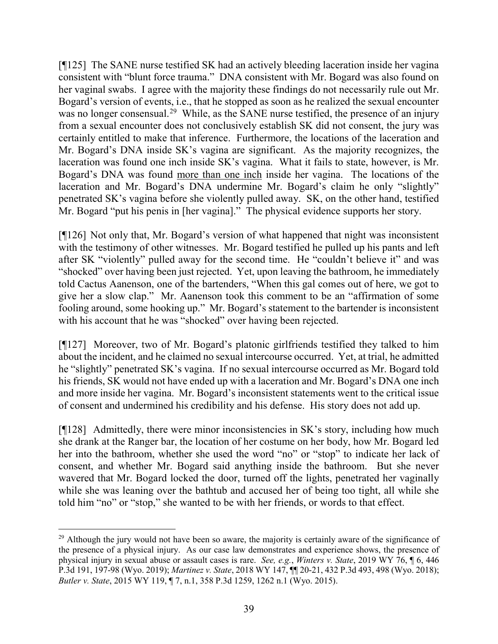[¶125] The SANE nurse testified SK had an actively bleeding laceration inside her vagina consistent with "blunt force trauma." DNA consistent with Mr. Bogard was also found on her vaginal swabs. I agree with the majority these findings do not necessarily rule out Mr. Bogard's version of events, i.e., that he stopped as soon as he realized the sexual encounter was no longer consensual.<sup>[29](#page-39-0)</sup> While, as the SANE nurse testified, the presence of an injury from a sexual encounter does not conclusively establish SK did not consent, the jury was certainly entitled to make that inference. Furthermore, the locations of the laceration and Mr. Bogard's DNA inside SK's vagina are significant. As the majority recognizes, the laceration was found one inch inside SK's vagina. What it fails to state, however, is Mr. Bogard's DNA was found more than one inch inside her vagina. The locations of the laceration and Mr. Bogard's DNA undermine Mr. Bogard's claim he only "slightly" penetrated SK's vagina before she violently pulled away. SK, on the other hand, testified Mr. Bogard "put his penis in [her vagina]." The physical evidence supports her story.

[¶126] Not only that, Mr. Bogard's version of what happened that night was inconsistent with the testimony of other witnesses. Mr. Bogard testified he pulled up his pants and left after SK "violently" pulled away for the second time. He "couldn't believe it" and was "shocked" over having been just rejected. Yet, upon leaving the bathroom, he immediately told Cactus Aanenson, one of the bartenders, "When this gal comes out of here, we got to give her a slow clap." Mr. Aanenson took this comment to be an "affirmation of some fooling around, some hooking up." Mr. Bogard's statement to the bartender is inconsistent with his account that he was "shocked" over having been rejected.

[¶127] Moreover, two of Mr. Bogard's platonic girlfriends testified they talked to him about the incident, and he claimed no sexual intercourse occurred. Yet, at trial, he admitted he "slightly" penetrated SK's vagina. If no sexual intercourse occurred as Mr. Bogard told his friends, SK would not have ended up with a laceration and Mr. Bogard's DNA one inch and more inside her vagina. Mr. Bogard's inconsistent statements went to the critical issue of consent and undermined his credibility and his defense. His story does not add up.

[¶128] Admittedly, there were minor inconsistencies in SK's story, including how much she drank at the Ranger bar, the location of her costume on her body, how Mr. Bogard led her into the bathroom, whether she used the word "no" or "stop" to indicate her lack of consent, and whether Mr. Bogard said anything inside the bathroom. But she never wavered that Mr. Bogard locked the door, turned off the lights, penetrated her vaginally while she was leaning over the bathtub and accused her of being too tight, all while she told him "no" or "stop," she wanted to be with her friends, or words to that effect.

<span id="page-39-0"></span><sup>&</sup>lt;sup>29</sup> Although the jury would not have been so aware, the majority is certainly aware of the significance of the presence of a physical injury. As our case law demonstrates and experience shows, the presence of physical injury in sexual abuse or assault cases is rare. *See, e.g.*, *Winters v. State*, 2019 WY 76, ¶ 6, 446 P.3d 191, 197-98 (Wyo. 2019); *Martinez v. State*, 2018 WY 147, ¶¶ 20-21, 432 P.3d 493, 498 (Wyo. 2018); *Butler v. State*, 2015 WY 119, ¶ 7, n.1, 358 P.3d 1259, 1262 n.1 (Wyo. 2015).